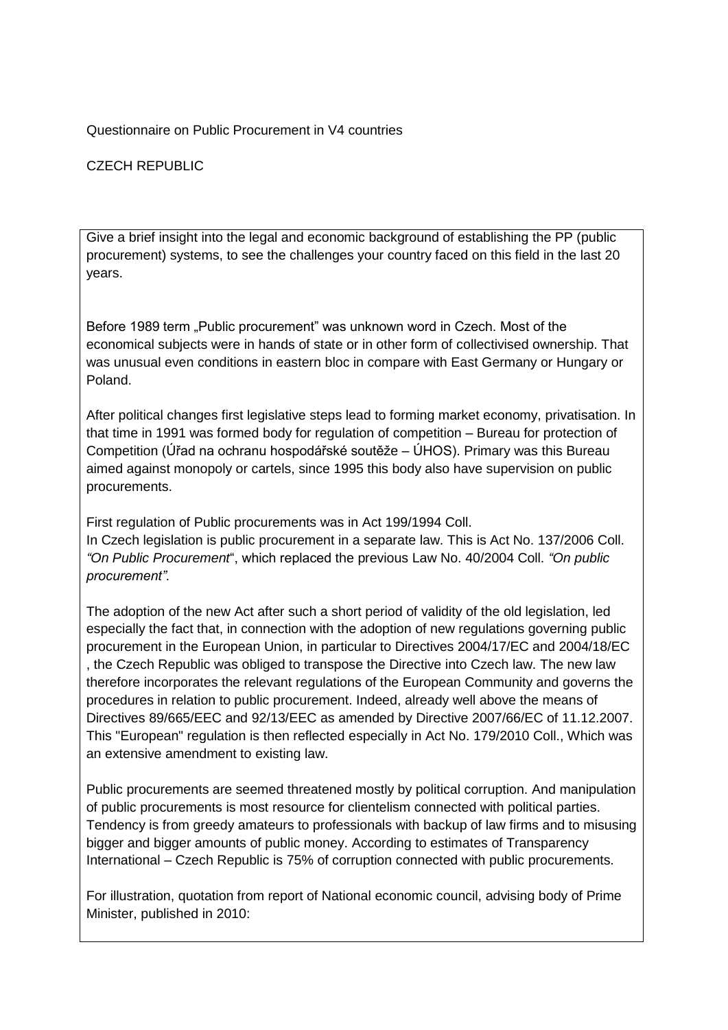Questionnaire on Public Procurement in V4 countries

CZECH REPUBLIC

Give a brief insight into the legal and economic background of establishing the PP (public procurement) systems, to see the challenges your country faced on this field in the last 20 years.

Before 1989 term "Public procurement" was unknown word in Czech. Most of the economical subjects were in hands of state or in other form of collectivised ownership. That was unusual even conditions in eastern bloc in compare with East Germany or Hungary or Poland.

After political changes first legislative steps lead to forming market economy, privatisation. In that time in 1991 was formed body for regulation of competition – Bureau for protection of Competition (Úřad na ochranu hospodářské soutěže – ÚHOS). Primary was this Bureau aimed against monopoly or cartels, since 1995 this body also have supervision on public procurements.

First regulation of Public procurements was in Act 199/1994 Coll. In Czech legislation is public procurement in a separate law. This is Act No. 137/2006 Coll. *"On Public Procurement*", which replaced the previous Law No. 40/2004 Coll. *"On public procurement".*

The adoption of the new Act after such a short period of validity of the old legislation, led especially the fact that, in connection with the adoption of new regulations governing public procurement in the European Union, in particular to Directives 2004/17/EC and 2004/18/EC , the Czech Republic was obliged to transpose the Directive into Czech law. The new law therefore incorporates the relevant regulations of the European Community and governs the procedures in relation to public procurement. Indeed, already well above the means of Directives 89/665/EEC and 92/13/EEC as amended by Directive 2007/66/EC of 11.12.2007. This "European" regulation is then reflected especially in Act No. 179/2010 Coll., Which was an extensive amendment to existing law.

Public procurements are seemed threatened mostly by political corruption. And manipulation of public procurements is most resource for clientelism connected with political parties. Tendency is from greedy amateurs to professionals with backup of law firms and to misusing bigger and bigger amounts of public money. According to estimates of Transparency International – Czech Republic is 75% of corruption connected with public procurements.

For illustration, quotation from report of National economic council, advising body of Prime Minister, published in 2010: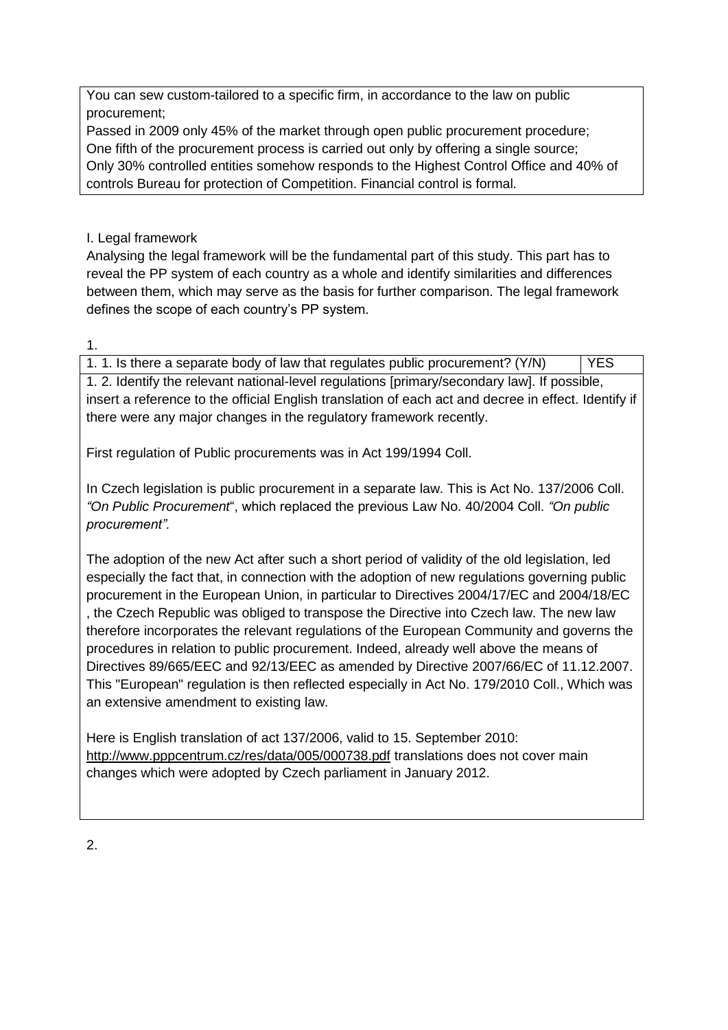You can sew custom-tailored to a specific firm, in accordance to the law on public procurement;

Passed in 2009 only 45% of the market through open public procurement procedure; One fifth of the procurement process is carried out only by offering a single source; Only 30% controlled entities somehow responds to the Highest Control Office and 40% of controls Bureau for protection of Competition. Financial control is formal.

I. Legal framework

Analysing the legal framework will be the fundamental part of this study. This part has to reveal the PP system of each country as a whole and identify similarities and differences between them, which may serve as the basis for further comparison. The legal framework defines the scope of each country's PP system.

1.

1. 1. Is there a separate body of law that regulates public procurement?  $(Y/N)$  | YES 1. 2. Identify the relevant national-level regulations [primary/secondary law]. If possible, insert a reference to the official English translation of each act and decree in effect. Identify if there were any major changes in the regulatory framework recently.

First regulation of Public procurements was in Act 199/1994 Coll.

In Czech legislation is public procurement in a separate law. This is Act No. 137/2006 Coll. *"On Public Procurement*", which replaced the previous Law No. 40/2004 Coll. *"On public procurement".*

The adoption of the new Act after such a short period of validity of the old legislation, led especially the fact that, in connection with the adoption of new regulations governing public procurement in the European Union, in particular to Directives 2004/17/EC and 2004/18/EC , the Czech Republic was obliged to transpose the Directive into Czech law. The new law therefore incorporates the relevant regulations of the European Community and governs the procedures in relation to public procurement. Indeed, already well above the means of Directives 89/665/EEC and 92/13/EEC as amended by Directive 2007/66/EC of 11.12.2007. This "European" regulation is then reflected especially in Act No. 179/2010 Coll., Which was an extensive amendment to existing law.

Here is English translation of act 137/2006, valid to 15. September 2010: <http://www.pppcentrum.cz/res/data/005/000738.pdf> translations does not cover main changes which were adopted by Czech parliament in January 2012.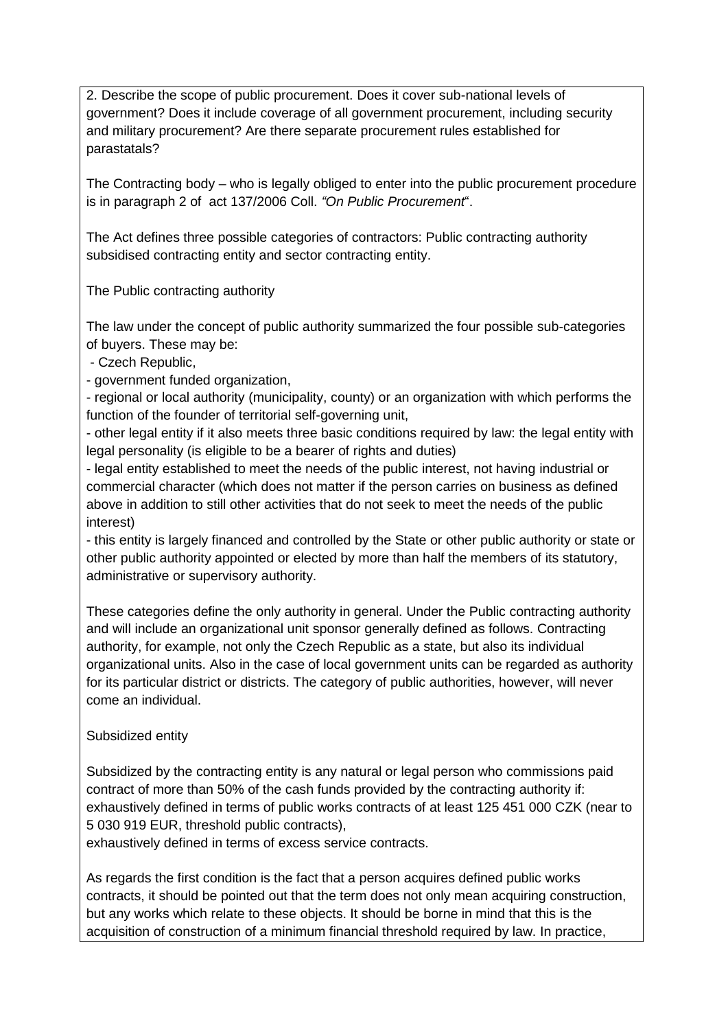2. Describe the scope of public procurement. Does it cover sub-national levels of government? Does it include coverage of all government procurement, including security and military procurement? Are there separate procurement rules established for parastatals?

The Contracting body – who is legally obliged to enter into the public procurement procedure is in paragraph 2 of act 137/2006 Coll. *"On Public Procurement*".

The Act defines three possible categories of contractors: Public contracting authority subsidised contracting entity and sector contracting entity.

The Public contracting authority

The law under the concept of public authority summarized the four possible sub-categories of buyers. These may be:

- Czech Republic,

- government funded organization,

- regional or local authority (municipality, county) or an organization with which performs the function of the founder of territorial self-governing unit,

- other legal entity if it also meets three basic conditions required by law: the legal entity with legal personality (is eligible to be a bearer of rights and duties)

- legal entity established to meet the needs of the public interest, not having industrial or commercial character (which does not matter if the person carries on business as defined above in addition to still other activities that do not seek to meet the needs of the public interest)

- this entity is largely financed and controlled by the State or other public authority or state or other public authority appointed or elected by more than half the members of its statutory, administrative or supervisory authority.

These categories define the only authority in general. Under the Public contracting authority and will include an organizational unit sponsor generally defined as follows. Contracting authority, for example, not only the Czech Republic as a state, but also its individual organizational units. Also in the case of local government units can be regarded as authority for its particular district or districts. The category of public authorities, however, will never come an individual.

## Subsidized entity

Subsidized by the contracting entity is any natural or legal person who commissions paid contract of more than 50% of the cash funds provided by the contracting authority if: exhaustively defined in terms of public works contracts of at least 125 451 000 CZK (near to 5 030 919 EUR, threshold public contracts),

exhaustively defined in terms of excess service contracts.

As regards the first condition is the fact that a person acquires defined public works contracts, it should be pointed out that the term does not only mean acquiring construction, but any works which relate to these objects. It should be borne in mind that this is the acquisition of construction of a minimum financial threshold required by law. In practice,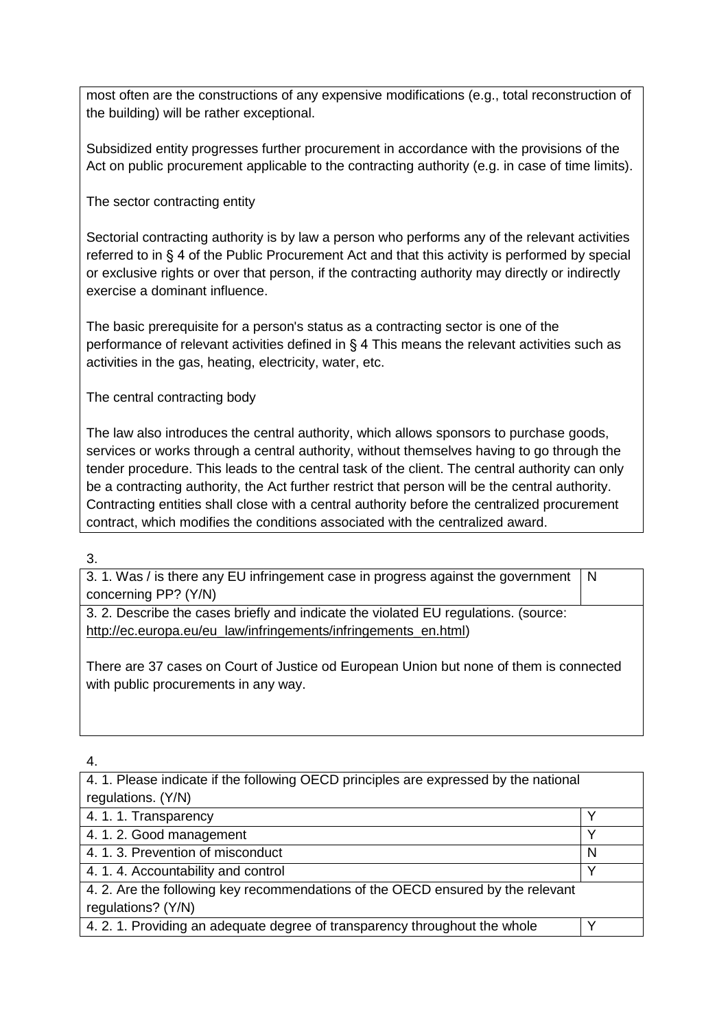most often are the constructions of any expensive modifications (e.g., total reconstruction of the building) will be rather exceptional.

Subsidized entity progresses further procurement in accordance with the provisions of the Act on public procurement applicable to the contracting authority (e.g. in case of time limits).

The sector contracting entity

Sectorial contracting authority is by law a person who performs any of the relevant activities referred to in § 4 of the Public Procurement Act and that this activity is performed by special or exclusive rights or over that person, if the contracting authority may directly or indirectly exercise a dominant influence.

The basic prerequisite for a person's status as a contracting sector is one of the performance of relevant activities defined in § 4 This means the relevant activities such as activities in the gas, heating, electricity, water, etc.

The central contracting body

The law also introduces the central authority, which allows sponsors to purchase goods, services or works through a central authority, without themselves having to go through the tender procedure. This leads to the central task of the client. The central authority can only be a contracting authority, the Act further restrict that person will be the central authority. Contracting entities shall close with a central authority before the centralized procurement contract, which modifies the conditions associated with the centralized award.

3.

3. 1. Was / is there any EU infringement case in progress against the government concerning PP? (Y/N) N

3. 2. Describe the cases briefly and indicate the violated EU regulations. (source: [http://ec.europa.eu/eu\\_law/infringements/infringements\\_en.html\)](http://ec.europa.eu/eu_law/infringements/infringements_en.html)

There are 37 cases on Court of Justice od European Union but none of them is connected with public procurements in any way.

| 4. 1. Please indicate if the following OECD principles are expressed by the national |              |  |
|--------------------------------------------------------------------------------------|--------------|--|
| regulations. (Y/N)                                                                   |              |  |
| 4. 1. 1. Transparency                                                                |              |  |
| 4. 1. 2. Good management                                                             | ◡            |  |
| 4. 1. 3. Prevention of misconduct                                                    | N            |  |
| 4. 1. 4. Accountability and control                                                  | $\checkmark$ |  |
| 4. 2. Are the following key recommendations of the OECD ensured by the relevant      |              |  |
| regulations? (Y/N)                                                                   |              |  |
| 4. 2. 1. Providing an adequate degree of transparency throughout the whole           |              |  |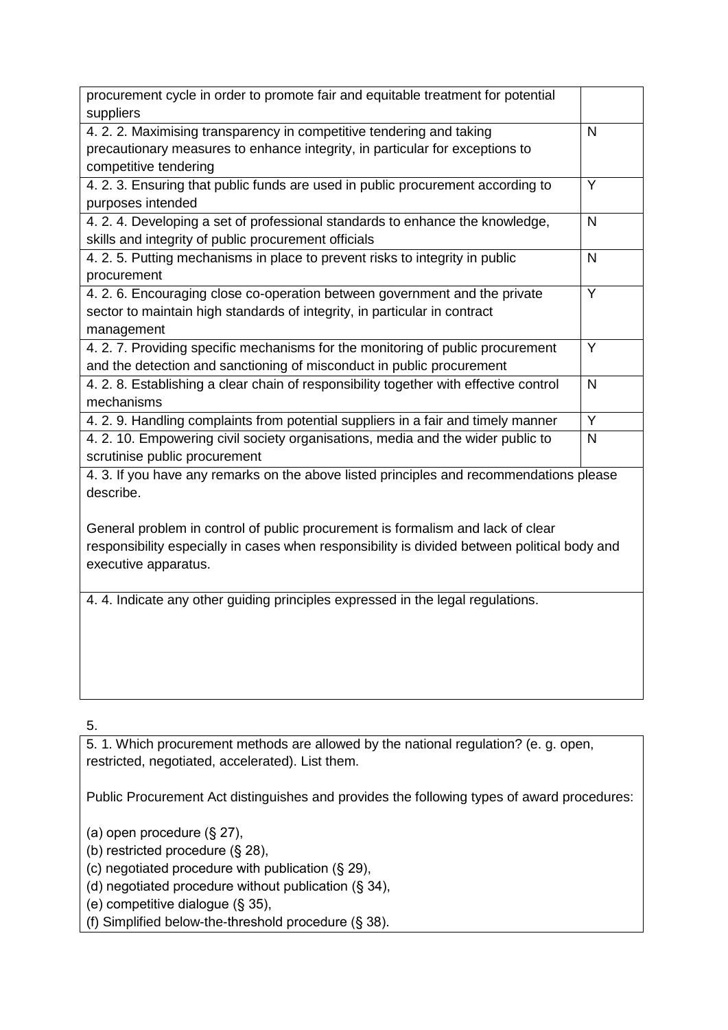| procurement cycle in order to promote fair and equitable treatment for potential<br>suppliers |                         |
|-----------------------------------------------------------------------------------------------|-------------------------|
| 4. 2. 2. Maximising transparency in competitive tendering and taking                          | $\mathsf{N}$            |
| precautionary measures to enhance integrity, in particular for exceptions to                  |                         |
| competitive tendering                                                                         |                         |
| 4. 2. 3. Ensuring that public funds are used in public procurement according to               | Y                       |
| purposes intended                                                                             |                         |
| 4. 2. 4. Developing a set of professional standards to enhance the knowledge,                 | N                       |
| skills and integrity of public procurement officials                                          |                         |
| 4. 2. 5. Putting mechanisms in place to prevent risks to integrity in public                  | $\overline{N}$          |
| procurement                                                                                   |                         |
| 4. 2. 6. Encouraging close co-operation between government and the private                    | Y                       |
| sector to maintain high standards of integrity, in particular in contract                     |                         |
| management                                                                                    |                         |
| 4. 2. 7. Providing specific mechanisms for the monitoring of public procurement               | Y                       |
| and the detection and sanctioning of misconduct in public procurement                         |                         |
| 4. 2. 8. Establishing a clear chain of responsibility together with effective control         | N                       |
| mechanisms                                                                                    |                         |
| 4. 2. 9. Handling complaints from potential suppliers in a fair and timely manner             | $\overline{\mathsf{Y}}$ |
| 4. 2. 10. Empowering civil society organisations, media and the wider public to               | $\mathsf{N}$            |
| scrutinise public procurement                                                                 |                         |
| 4. 3. If you have any remarks on the above listed principles and recommendations please       |                         |
| describe.                                                                                     |                         |
|                                                                                               |                         |
| General problem in control of public procurement is formalism and lack of clear               |                         |
| responsibility especially in cases when responsibility is divided between political body and  |                         |
| executive apparatus.                                                                          |                         |
|                                                                                               |                         |
| 4. 4. Indicate any other guiding principles expressed in the legal regulations.               |                         |
|                                                                                               |                         |
|                                                                                               |                         |
|                                                                                               |                         |

5.

5. 1. Which procurement methods are allowed by the national regulation? (e. g. open, restricted, negotiated, accelerated). List them.

Public Procurement Act distinguishes and provides the following types of award procedures:

(a) open procedure (§ 27),

(b) restricted procedure (§ 28),

(c) negotiated procedure with publication (§ 29),

(d) negotiated procedure without publication (§ 34),

(e) competitive dialogue (§ 35),

(f) Simplified below-the-threshold procedure (§ 38).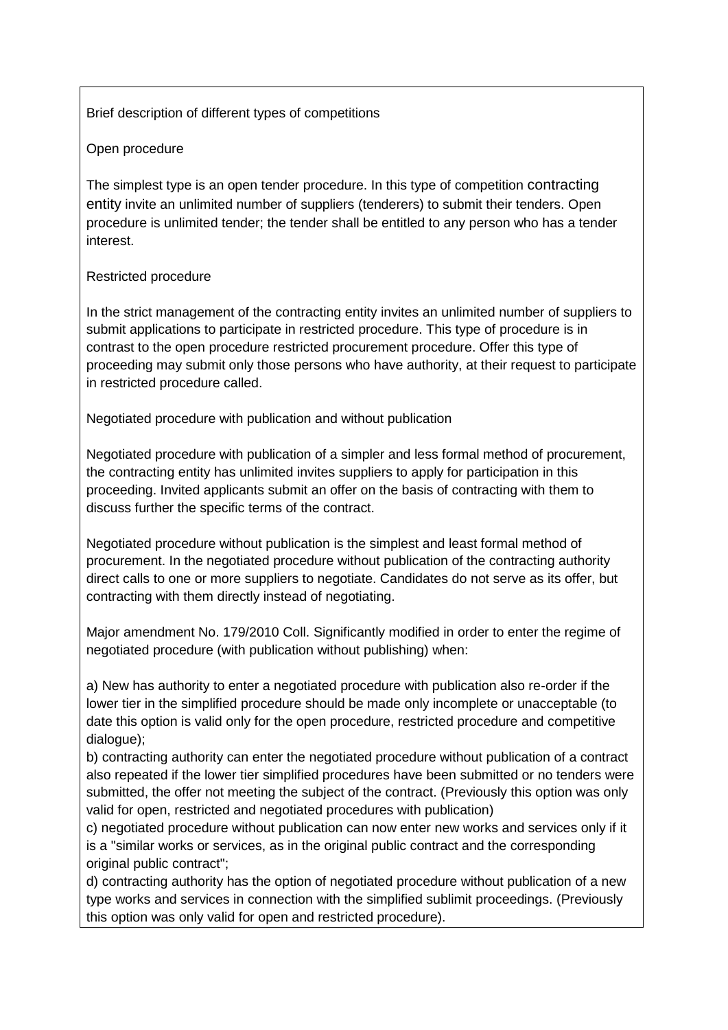Brief description of different types of competitions

#### Open procedure

The simplest type is an open tender procedure. In this type of competition contracting entity invite an unlimited number of suppliers (tenderers) to submit their tenders. Open procedure is unlimited tender; the tender shall be entitled to any person who has a tender interest.

#### Restricted procedure

In the strict management of the contracting entity invites an unlimited number of suppliers to submit applications to participate in restricted procedure. This type of procedure is in contrast to the open procedure restricted procurement procedure. Offer this type of proceeding may submit only those persons who have authority, at their request to participate in restricted procedure called.

Negotiated procedure with publication and without publication

Negotiated procedure with publication of a simpler and less formal method of procurement, the contracting entity has unlimited invites suppliers to apply for participation in this proceeding. Invited applicants submit an offer on the basis of contracting with them to discuss further the specific terms of the contract.

Negotiated procedure without publication is the simplest and least formal method of procurement. In the negotiated procedure without publication of the contracting authority direct calls to one or more suppliers to negotiate. Candidates do not serve as its offer, but contracting with them directly instead of negotiating.

Major amendment No. 179/2010 Coll. Significantly modified in order to enter the regime of negotiated procedure (with publication without publishing) when:

a) New has authority to enter a negotiated procedure with publication also re-order if the lower tier in the simplified procedure should be made only incomplete or unacceptable (to date this option is valid only for the open procedure, restricted procedure and competitive dialogue);

b) contracting authority can enter the negotiated procedure without publication of a contract also repeated if the lower tier simplified procedures have been submitted or no tenders were submitted, the offer not meeting the subject of the contract. (Previously this option was only valid for open, restricted and negotiated procedures with publication)

c) negotiated procedure without publication can now enter new works and services only if it is a "similar works or services, as in the original public contract and the corresponding original public contract";

d) contracting authority has the option of negotiated procedure without publication of a new type works and services in connection with the simplified sublimit proceedings. (Previously this option was only valid for open and restricted procedure).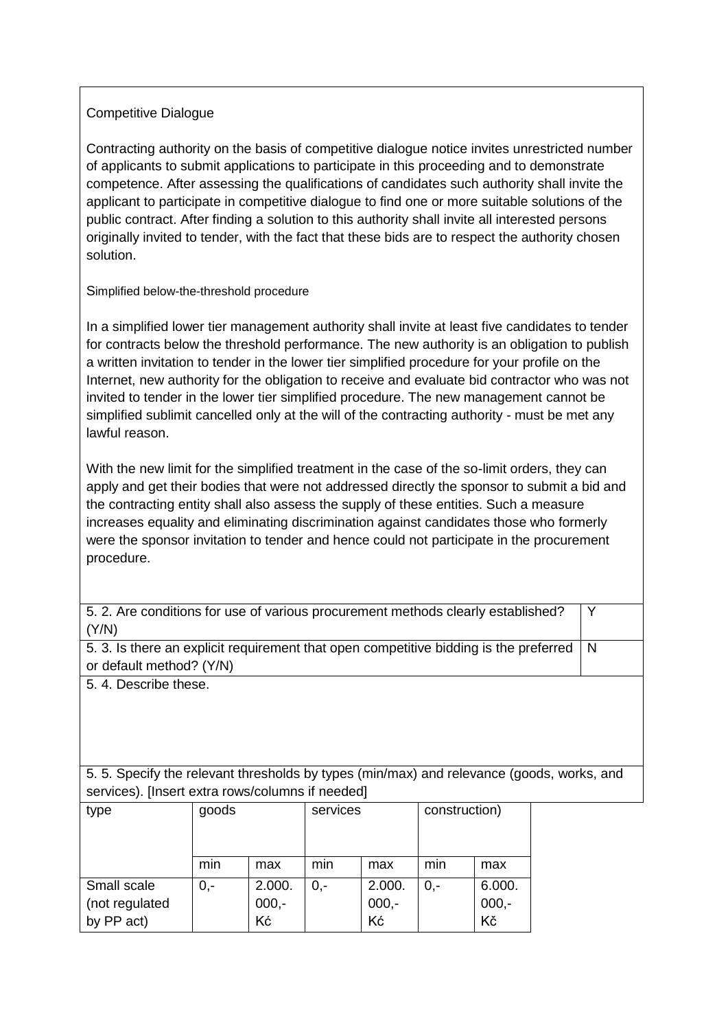## Competitive Dialogue

Contracting authority on the basis of competitive dialogue notice invites unrestricted number of applicants to submit applications to participate in this proceeding and to demonstrate competence. After assessing the qualifications of candidates such authority shall invite the applicant to participate in competitive dialogue to find one or more suitable solutions of the public contract. After finding a solution to this authority shall invite all interested persons originally invited to tender, with the fact that these bids are to respect the authority chosen solution.

Simplified below-the-threshold procedure

In a simplified lower tier management authority shall invite at least five candidates to tender for contracts below the threshold performance. The new authority is an obligation to publish a written invitation to tender in the lower tier simplified procedure for your profile on the Internet, new authority for the obligation to receive and evaluate bid contractor who was not invited to tender in the lower tier simplified procedure. The new management cannot be simplified sublimit cancelled only at the will of the contracting authority - must be met any lawful reason.

With the new limit for the simplified treatment in the case of the so-limit orders, they can apply and get their bodies that were not addressed directly the sponsor to submit a bid and the contracting entity shall also assess the supply of these entities. Such a measure increases equality and eliminating discrimination against candidates those who formerly were the sponsor invitation to tender and hence could not participate in the procurement procedure.

Y

5. 2. Are conditions for use of various procurement methods clearly established? (Y/N)

5. 3. Is there an explicit requirement that open competitive bidding is the preferred or default method? (Y/N) N

5. 4. Describe these.

5. 5. Specify the relevant thresholds by types (min/max) and relevance (goods, works, and services). [Insert extra rows/columns if needed]

| type           | goods |         | services |         | construction) |         |
|----------------|-------|---------|----------|---------|---------------|---------|
|                |       |         |          |         |               |         |
|                | min   | max     | min      | max     | min           | max     |
| Small scale    | $0,-$ | 2.000.  | 0.-      | 2.000.  | $0,-$         | 6.000.  |
| (not regulated |       | $000,-$ |          | $000,-$ |               | $000,-$ |
| by PP act)     |       | Kć      |          | Kć      |               | Kč      |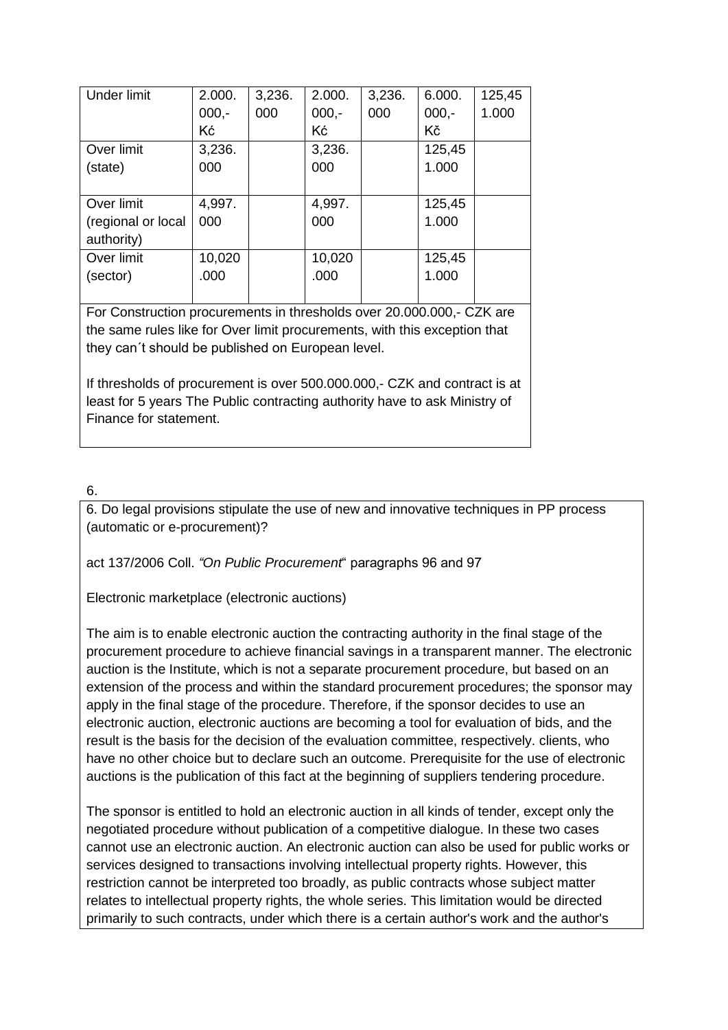| 2.000.  | 3,236. | 2.000.  | 3,236. | 6.000.  | 125,45 |
|---------|--------|---------|--------|---------|--------|
| $000,-$ | 000    | $000,-$ | 000    | $000,-$ | 1.000  |
| Kć      |        | Kć      |        | Κč      |        |
| 3,236.  |        | 3,236.  |        | 125,45  |        |
| 000     |        | 000     |        | 1.000   |        |
|         |        |         |        |         |        |
| 4,997.  |        | 4,997.  |        | 125,45  |        |
| 000     |        | 000     |        | 1.000   |        |
|         |        |         |        |         |        |
| 10,020  |        | 10,020  |        | 125,45  |        |
| .000    |        | .000    |        | 1.000   |        |
|         |        |         |        |         |        |
|         |        |         |        |         |        |

For Construction procurements in thresholds over 20.000.000,- CZK are the same rules like for Over limit procurements, with this exception that they can´t should be published on European level.

If thresholds of procurement is over 500.000.000,- CZK and contract is at least for 5 years The Public contracting authority have to ask Ministry of Finance for statement.

## 6.

6. Do legal provisions stipulate the use of new and innovative techniques in PP process (automatic or e-procurement)?

act 137/2006 Coll. *"On Public Procurement*" paragraphs 96 and 97

Electronic marketplace (electronic auctions)

The aim is to enable electronic auction the contracting authority in the final stage of the procurement procedure to achieve financial savings in a transparent manner. The electronic auction is the Institute, which is not a separate procurement procedure, but based on an extension of the process and within the standard procurement procedures; the sponsor may apply in the final stage of the procedure. Therefore, if the sponsor decides to use an electronic auction, electronic auctions are becoming a tool for evaluation of bids, and the result is the basis for the decision of the evaluation committee, respectively. clients, who have no other choice but to declare such an outcome. Prerequisite for the use of electronic auctions is the publication of this fact at the beginning of suppliers tendering procedure.

The sponsor is entitled to hold an electronic auction in all kinds of tender, except only the negotiated procedure without publication of a competitive dialogue. In these two cases cannot use an electronic auction. An electronic auction can also be used for public works or services designed to transactions involving intellectual property rights. However, this restriction cannot be interpreted too broadly, as public contracts whose subject matter relates to intellectual property rights, the whole series. This limitation would be directed primarily to such contracts, under which there is a certain author's work and the author's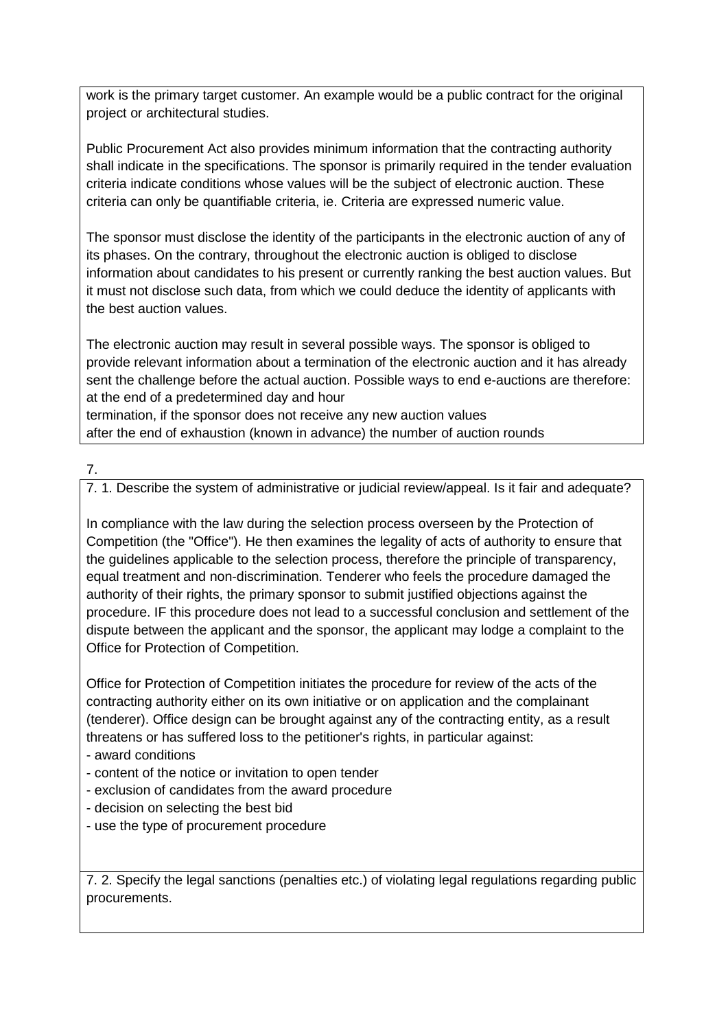work is the primary target customer. An example would be a public contract for the original project or architectural studies.

Public Procurement Act also provides minimum information that the contracting authority shall indicate in the specifications. The sponsor is primarily required in the tender evaluation criteria indicate conditions whose values will be the subject of electronic auction. These criteria can only be quantifiable criteria, ie. Criteria are expressed numeric value.

The sponsor must disclose the identity of the participants in the electronic auction of any of its phases. On the contrary, throughout the electronic auction is obliged to disclose information about candidates to his present or currently ranking the best auction values. But it must not disclose such data, from which we could deduce the identity of applicants with the best auction values.

The electronic auction may result in several possible ways. The sponsor is obliged to provide relevant information about a termination of the electronic auction and it has already sent the challenge before the actual auction. Possible ways to end e-auctions are therefore: at the end of a predetermined day and hour

termination, if the sponsor does not receive any new auction values after the end of exhaustion (known in advance) the number of auction rounds

## 7.

7. 1. Describe the system of administrative or judicial review/appeal. Is it fair and adequate?

In compliance with the law during the selection process overseen by the Protection of Competition (the "Office"). He then examines the legality of acts of authority to ensure that the guidelines applicable to the selection process, therefore the principle of transparency, equal treatment and non-discrimination. Tenderer who feels the procedure damaged the authority of their rights, the primary sponsor to submit justified objections against the procedure. IF this procedure does not lead to a successful conclusion and settlement of the dispute between the applicant and the sponsor, the applicant may lodge a complaint to the Office for Protection of Competition.

Office for Protection of Competition initiates the procedure for review of the acts of the contracting authority either on its own initiative or on application and the complainant (tenderer). Office design can be brought against any of the contracting entity, as a result threatens or has suffered loss to the petitioner's rights, in particular against:

- award conditions
- content of the notice or invitation to open tender
- exclusion of candidates from the award procedure
- decision on selecting the best bid
- use the type of procurement procedure

7. 2. Specify the legal sanctions (penalties etc.) of violating legal regulations regarding public procurements.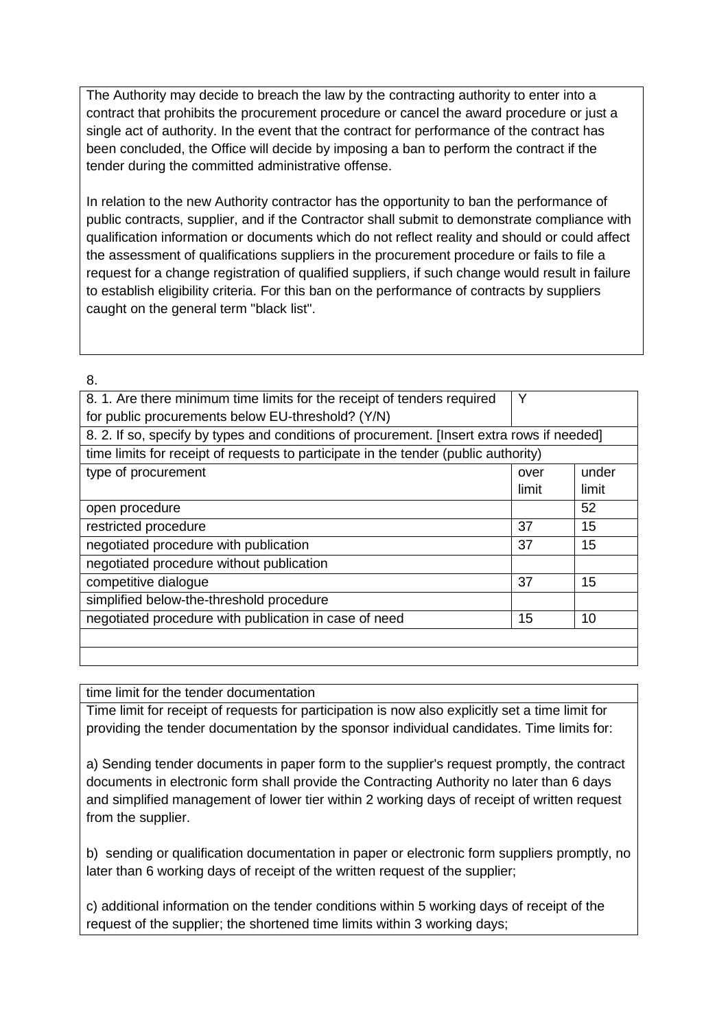The Authority may decide to breach the law by the contracting authority to enter into a contract that prohibits the procurement procedure or cancel the award procedure or just a single act of authority. In the event that the contract for performance of the contract has been concluded, the Office will decide by imposing a ban to perform the contract if the tender during the committed administrative offense.

In relation to the new Authority contractor has the opportunity to ban the performance of public contracts, supplier, and if the Contractor shall submit to demonstrate compliance with qualification information or documents which do not reflect reality and should or could affect the assessment of qualifications suppliers in the procurement procedure or fails to file a request for a change registration of qualified suppliers, if such change would result in failure to establish eligibility criteria. For this ban on the performance of contracts by suppliers caught on the general term "black list".

8.

| 8.1. Are there minimum time limits for the receipt of tenders required                     | Y     |       |
|--------------------------------------------------------------------------------------------|-------|-------|
| for public procurements below EU-threshold? (Y/N)                                          |       |       |
| 8. 2. If so, specify by types and conditions of procurement. [Insert extra rows if needed] |       |       |
| time limits for receipt of requests to participate in the tender (public authority)        |       |       |
| type of procurement                                                                        | over  | under |
|                                                                                            | limit | limit |
| open procedure                                                                             |       | 52    |
| restricted procedure                                                                       | 37    | 15    |
| negotiated procedure with publication                                                      | 37    | 15    |
| negotiated procedure without publication                                                   |       |       |
| competitive dialogue                                                                       | 37    | 15    |
| simplified below-the-threshold procedure                                                   |       |       |
| negotiated procedure with publication in case of need                                      | 15    | 10    |
|                                                                                            |       |       |
|                                                                                            |       |       |

time limit for the tender documentation

Time limit for receipt of requests for participation is now also explicitly set a time limit for providing the tender documentation by the sponsor individual candidates. Time limits for:

a) Sending tender documents in paper form to the supplier's request promptly, the contract documents in electronic form shall provide the Contracting Authority no later than 6 days and simplified management of lower tier within 2 working days of receipt of written request from the supplier.

b) sending or qualification documentation in paper or electronic form suppliers promptly, no later than 6 working days of receipt of the written request of the supplier;

c) additional information on the tender conditions within 5 working days of receipt of the request of the supplier; the shortened time limits within 3 working days;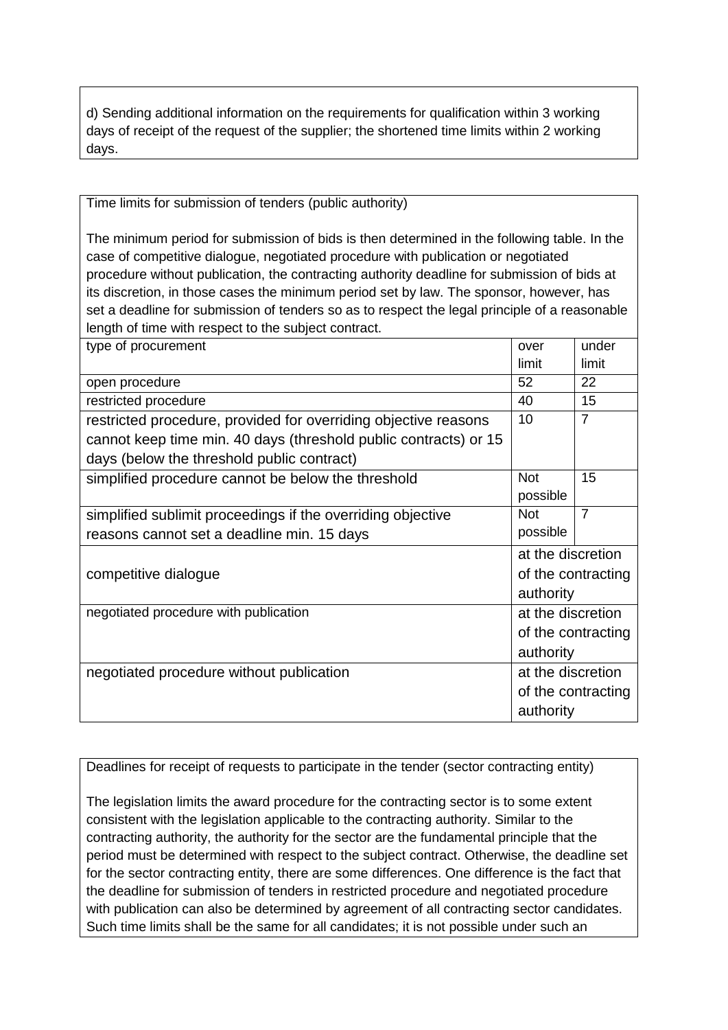d) Sending additional information on the requirements for qualification within 3 working days of receipt of the request of the supplier; the shortened time limits within 2 working days.

Time limits for submission of tenders (public authority)

The minimum period for submission of bids is then determined in the following table. In the case of competitive dialogue, negotiated procedure with publication or negotiated procedure without publication, the contracting authority deadline for submission of bids at its discretion, in those cases the minimum period set by law. The sponsor, however, has set a deadline for submission of tenders so as to respect the legal principle of a reasonable length of time with respect to the subject contract.

| type of procurement                                              | over              | under              |
|------------------------------------------------------------------|-------------------|--------------------|
|                                                                  | limit             | limit              |
| open procedure                                                   | 52                | 22                 |
| restricted procedure                                             | 40                | 15                 |
| restricted procedure, provided for overriding objective reasons  | 10                | $\overline{7}$     |
| cannot keep time min. 40 days (threshold public contracts) or 15 |                   |                    |
| days (below the threshold public contract)                       |                   |                    |
| simplified procedure cannot be below the threshold               | <b>Not</b>        | 15                 |
|                                                                  | possible          |                    |
| simplified sublimit proceedings if the overriding objective      | <b>Not</b>        | $\overline{7}$     |
| reasons cannot set a deadline min. 15 days                       | possible          |                    |
|                                                                  | at the discretion |                    |
| competitive dialogue                                             |                   | of the contracting |
|                                                                  | authority         |                    |
| negotiated procedure with publication                            | at the discretion |                    |
|                                                                  |                   | of the contracting |
|                                                                  | authority         |                    |
| negotiated procedure without publication                         | at the discretion |                    |
|                                                                  |                   | of the contracting |
|                                                                  | authority         |                    |
|                                                                  |                   |                    |

Deadlines for receipt of requests to participate in the tender (sector contracting entity)

The legislation limits the award procedure for the contracting sector is to some extent consistent with the legislation applicable to the contracting authority. Similar to the contracting authority, the authority for the sector are the fundamental principle that the period must be determined with respect to the subject contract. Otherwise, the deadline set for the sector contracting entity, there are some differences. One difference is the fact that the deadline for submission of tenders in restricted procedure and negotiated procedure with publication can also be determined by agreement of all contracting sector candidates. Such time limits shall be the same for all candidates; it is not possible under such an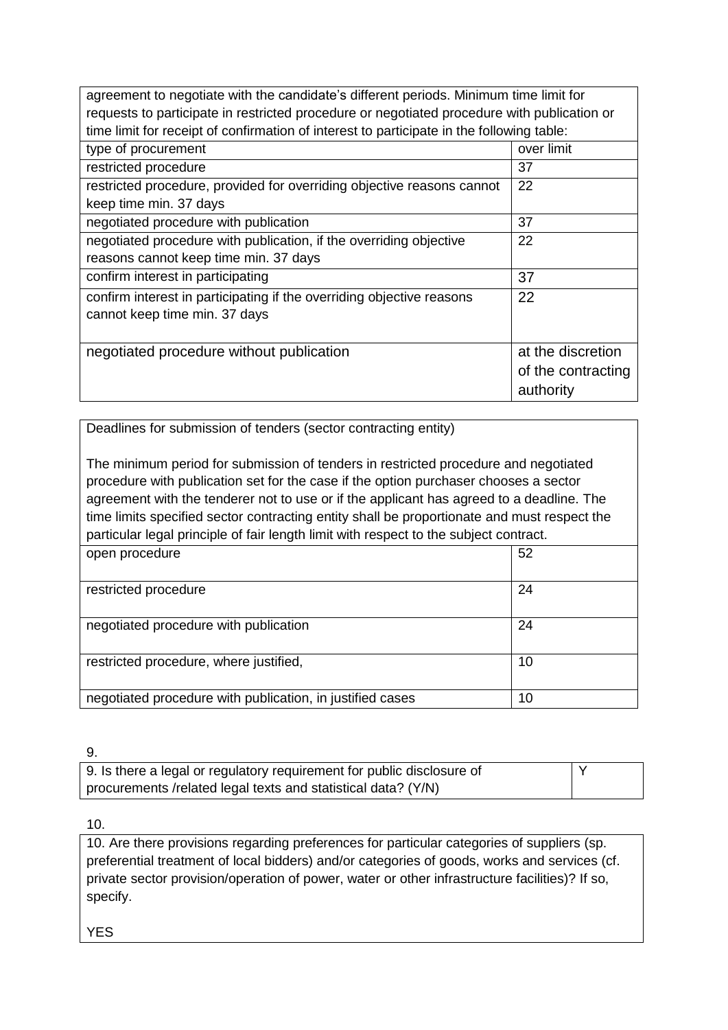| agreement to negotiate with the candidate's different periods. Minimum time limit for       |                    |  |
|---------------------------------------------------------------------------------------------|--------------------|--|
| requests to participate in restricted procedure or negotiated procedure with publication or |                    |  |
| time limit for receipt of confirmation of interest to participate in the following table:   |                    |  |
| type of procurement                                                                         | over limit         |  |
| restricted procedure                                                                        | 37                 |  |
| restricted procedure, provided for overriding objective reasons cannot                      | 22                 |  |
| keep time min. 37 days                                                                      |                    |  |
| negotiated procedure with publication                                                       | 37                 |  |
| negotiated procedure with publication, if the overriding objective                          | 22                 |  |
| reasons cannot keep time min. 37 days                                                       |                    |  |
| confirm interest in participating                                                           | 37                 |  |
| confirm interest in participating if the overriding objective reasons                       | 22                 |  |
| cannot keep time min. 37 days                                                               |                    |  |
|                                                                                             |                    |  |
| negotiated procedure without publication                                                    | at the discretion  |  |
|                                                                                             | of the contracting |  |
|                                                                                             | authority          |  |
|                                                                                             |                    |  |

Deadlines for submission of tenders (sector contracting entity)

The minimum period for submission of tenders in restricted procedure and negotiated procedure with publication set for the case if the option purchaser chooses a sector agreement with the tenderer not to use or if the applicant has agreed to a deadline. The time limits specified sector contracting entity shall be proportionate and must respect the particular legal principle of fair length limit with respect to the subject contract.

| open procedure                                            | 52 |
|-----------------------------------------------------------|----|
| restricted procedure                                      | 24 |
| negotiated procedure with publication                     | 24 |
| restricted procedure, where justified,                    | 10 |
| negotiated procedure with publication, in justified cases | 10 |

9.

| 9. Is there a legal or regulatory requirement for public disclosure of |  |
|------------------------------------------------------------------------|--|
| procurements /related legal texts and statistical data? (Y/N)          |  |

10.

10. Are there provisions regarding preferences for particular categories of suppliers (sp. preferential treatment of local bidders) and/or categories of goods, works and services (cf. private sector provision/operation of power, water or other infrastructure facilities)? If so, specify.

YES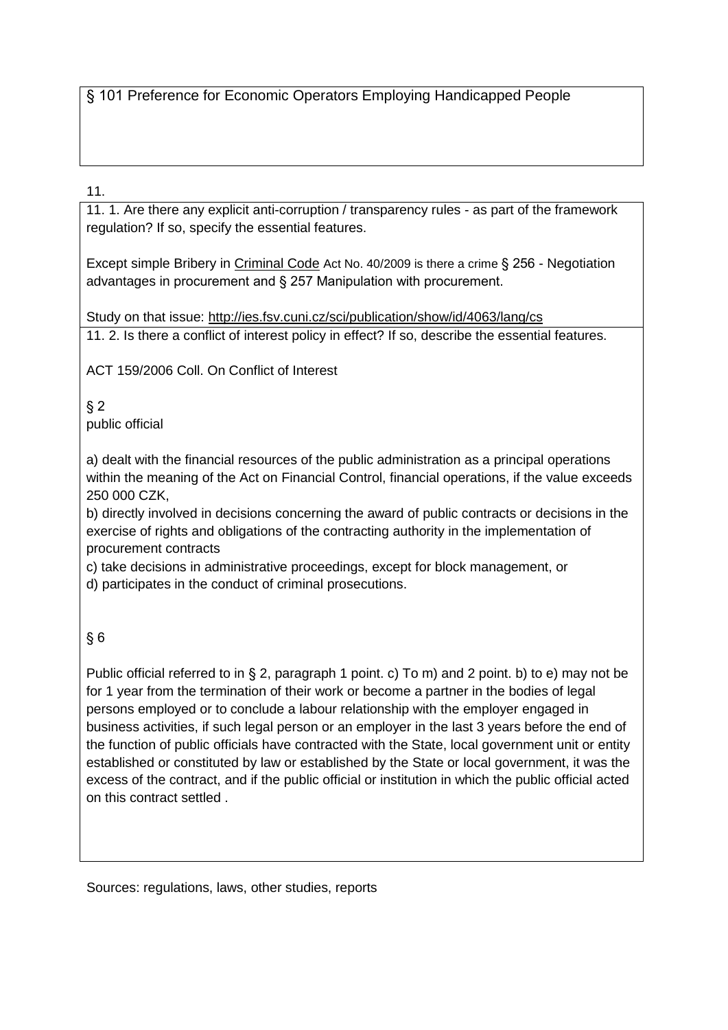§ 101 Preference for Economic Operators Employing Handicapped People

## 11.

11. 1. Are there any explicit anti-corruption / transparency rules - as part of the framework regulation? If so, specify the essential features.

Except simple Bribery in [Criminal Code](http://www.ilo.org/dyn/natlex/natlex_browse.details?p_lang=en&p_country=CZE&p_classification=01.04&p_origin=COUNTRY&p_sortby=SORTBY_COUNTRY) Act No. 40/2009 is there a crime § 256 - Negotiation advantages in procurement and § 257 Manipulation with procurement.

Study on that issue:<http://ies.fsv.cuni.cz/sci/publication/show/id/4063/lang/cs> 11. 2. Is there a conflict of interest policy in effect? If so, describe the essential features.

ACT 159/2006 Coll. On Conflict of Interest

#### $§$  2 public official

a) dealt with the financial resources of the public administration as a principal operations within the meaning of the Act on Financial Control, financial operations, if the value exceeds 250 000 CZK,

b) directly involved in decisions concerning the award of public contracts or decisions in the exercise of rights and obligations of the contracting authority in the implementation of procurement contracts

c) take decisions in administrative proceedings, except for block management, or

d) participates in the conduct of criminal prosecutions.

# § 6

Public official referred to in § 2, paragraph 1 point. c) To m) and 2 point. b) to e) may not be for 1 year from the termination of their work or become a partner in the bodies of legal persons employed or to conclude a labour relationship with the employer engaged in business activities, if such legal person or an employer in the last 3 years before the end of the function of public officials have contracted with the State, local government unit or entity established or constituted by law or established by the State or local government, it was the excess of the contract, and if the public official or institution in which the public official acted on this contract settled .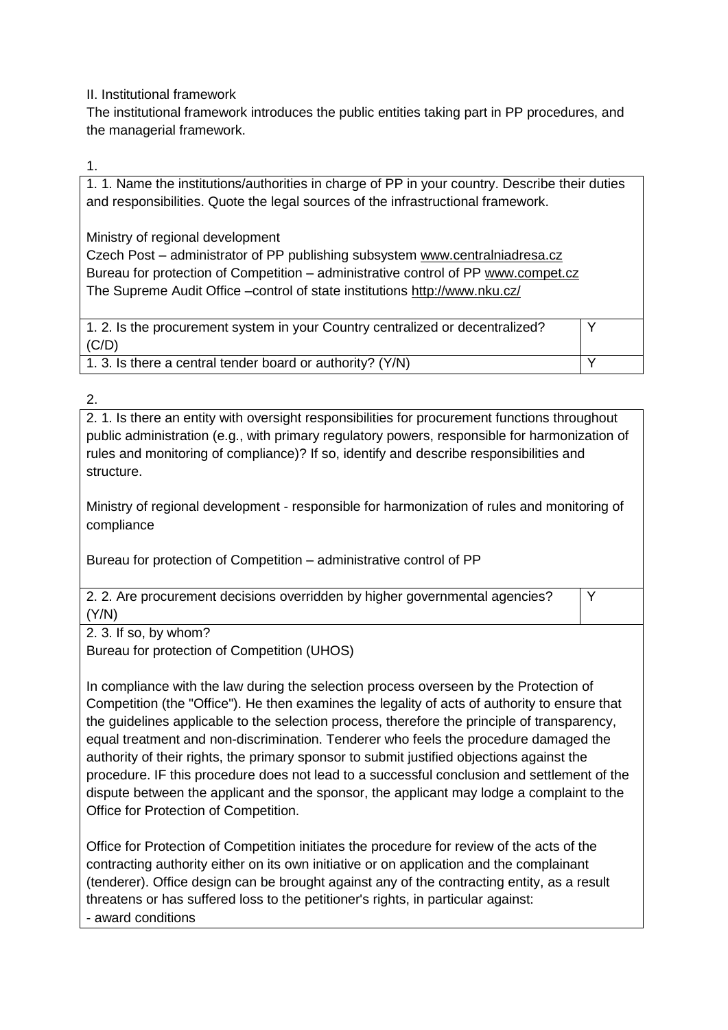II. Institutional framework

The institutional framework introduces the public entities taking part in PP procedures, and the managerial framework.

1.

1. 1. Name the institutions/authorities in charge of PP in your country. Describe their duties and responsibilities. Quote the legal sources of the infrastructional framework.

Ministry of regional development

Czech Post – administrator of PP publishing subsystem [www.centralniadresa.cz](http://www.centralniadresa.cz/) Bureau for protection of Competition – administrative control of PP [www.compet.cz](http://www.compet.cz/) The Supreme Audit Office –control of state institutions <http://www.nku.cz/>

1. 2. Is the procurement system in your Country centralized or decentralized?  $(C/D)$ 

1. 3. Is there a central tender board or authority?  $(Y/N)$ 

2.

2. 1. Is there an entity with oversight responsibilities for procurement functions throughout public administration (e.g., with primary regulatory powers, responsible for harmonization of rules and monitoring of compliance)? If so, identify and describe responsibilities and structure.

Y

Y

Ministry of regional development - responsible for harmonization of rules and monitoring of compliance

Bureau for protection of Competition – administrative control of PP

2. 2. Are procurement decisions overridden by higher governmental agencies? (Y/N)

2. 3. If so, by whom?

Bureau for protection of Competition (UHOS)

In compliance with the law during the selection process overseen by the Protection of Competition (the "Office"). He then examines the legality of acts of authority to ensure that the guidelines applicable to the selection process, therefore the principle of transparency, equal treatment and non-discrimination. Tenderer who feels the procedure damaged the authority of their rights, the primary sponsor to submit justified objections against the procedure. IF this procedure does not lead to a successful conclusion and settlement of the dispute between the applicant and the sponsor, the applicant may lodge a complaint to the Office for Protection of Competition.

Office for Protection of Competition initiates the procedure for review of the acts of the contracting authority either on its own initiative or on application and the complainant (tenderer). Office design can be brought against any of the contracting entity, as a result threatens or has suffered loss to the petitioner's rights, in particular against: - award conditions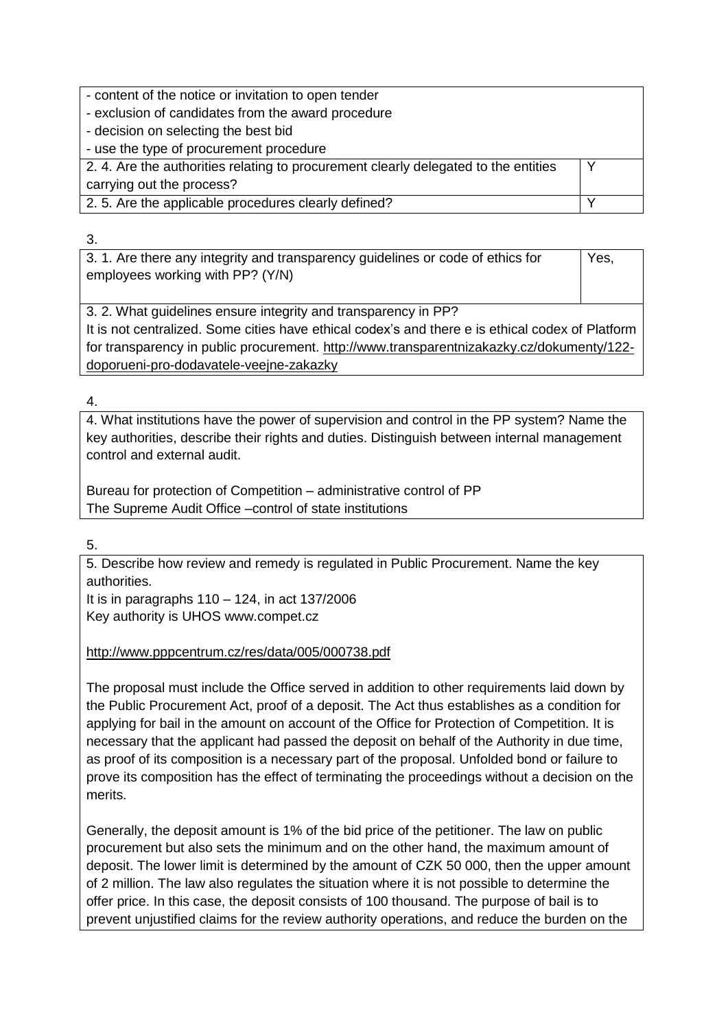- content of the notice or invitation to open tender

- exclusion of candidates from the award procedure

- decision on selecting the best bid

- use the type of procurement procedure

2. 4. Are the authorities relating to procurement clearly delegated to the entities carrying out the process? Y 2. 5. Are the applicable procedures clearly defined? The same state of the state of the state of the state of the state of the state of the state of the state of the state of the state of the state of the state of the stat

3.

3. 1. Are there any integrity and transparency guidelines or code of ethics for employees working with PP? (Y/N) Yes,

3. 2. What guidelines ensure integrity and transparency in PP? It is not centralized. Some cities have ethical codex's and there e is ethical codex of Platform for transparency in public procurement. [http://www.transparentnizakazky.cz/dokumenty/122](http://www.transparentnizakazky.cz/dokumenty/122-doporueni-pro-dodavatele-veejne-zakazky) [doporueni-pro-dodavatele-veejne-zakazky](http://www.transparentnizakazky.cz/dokumenty/122-doporueni-pro-dodavatele-veejne-zakazky)

4.

4. What institutions have the power of supervision and control in the PP system? Name the key authorities, describe their rights and duties. Distinguish between internal management control and external audit.

Bureau for protection of Competition – administrative control of PP The Supreme Audit Office –control of state institutions

5.

5. Describe how review and remedy is regulated in Public Procurement. Name the key authorities.

It is in paragraphs 110 – 124, in act 137/2006 Key authority is UHOS www.compet.cz

<http://www.pppcentrum.cz/res/data/005/000738.pdf>

The proposal must include the Office served in addition to other requirements laid down by the Public Procurement Act, proof of a deposit. The Act thus establishes as a condition for applying for bail in the amount on account of the Office for Protection of Competition. It is necessary that the applicant had passed the deposit on behalf of the Authority in due time, as proof of its composition is a necessary part of the proposal. Unfolded bond or failure to prove its composition has the effect of terminating the proceedings without a decision on the merits.

Generally, the deposit amount is 1% of the bid price of the petitioner. The law on public procurement but also sets the minimum and on the other hand, the maximum amount of deposit. The lower limit is determined by the amount of CZK 50 000, then the upper amount of 2 million. The law also regulates the situation where it is not possible to determine the offer price. In this case, the deposit consists of 100 thousand. The purpose of bail is to prevent unjustified claims for the review authority operations, and reduce the burden on the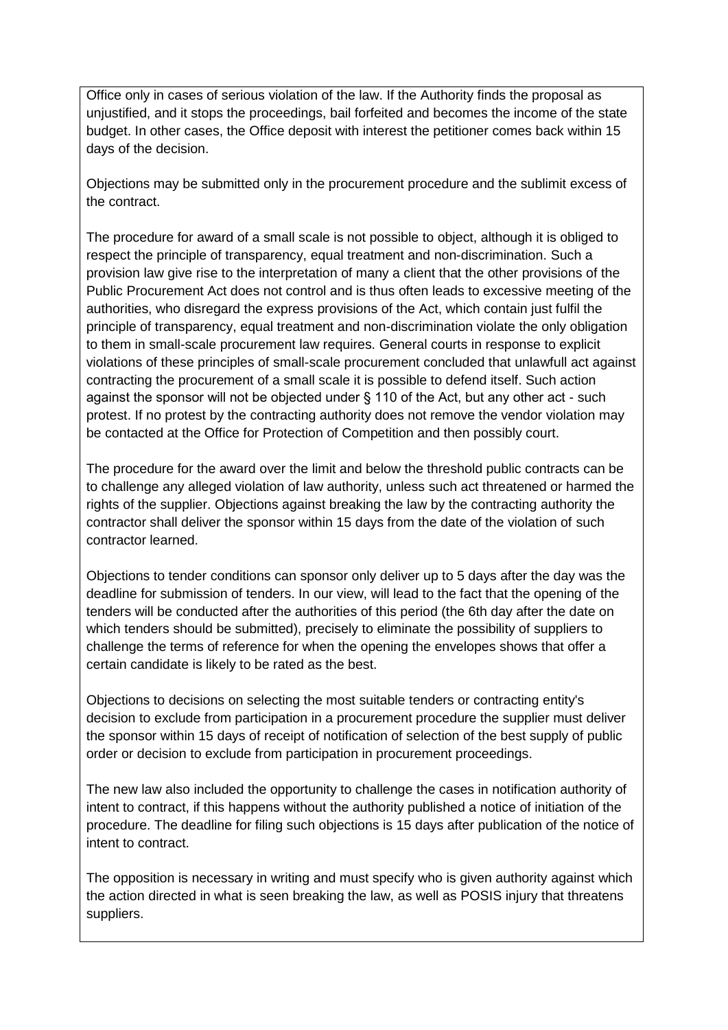Office only in cases of serious violation of the law. If the Authority finds the proposal as unjustified, and it stops the proceedings, bail forfeited and becomes the income of the state budget. In other cases, the Office deposit with interest the petitioner comes back within 15 days of the decision.

Objections may be submitted only in the procurement procedure and the sublimit excess of the contract.

The procedure for award of a small scale is not possible to object, although it is obliged to respect the principle of transparency, equal treatment and non-discrimination. Such a provision law give rise to the interpretation of many a client that the other provisions of the Public Procurement Act does not control and is thus often leads to excessive meeting of the authorities, who disregard the express provisions of the Act, which contain just fulfil the principle of transparency, equal treatment and non-discrimination violate the only obligation to them in small-scale procurement law requires. General courts in response to explicit violations of these principles of small-scale procurement concluded that unlawfull act against contracting the procurement of a small scale it is possible to defend itself. Such action against the sponsor will not be objected under § 110 of the Act, but any other act - such protest. If no protest by the contracting authority does not remove the vendor violation may be contacted at the Office for Protection of Competition and then possibly court.

The procedure for the award over the limit and below the threshold public contracts can be to challenge any alleged violation of law authority, unless such act threatened or harmed the rights of the supplier. Objections against breaking the law by the contracting authority the contractor shall deliver the sponsor within 15 days from the date of the violation of such contractor learned.

Objections to tender conditions can sponsor only deliver up to 5 days after the day was the deadline for submission of tenders. In our view, will lead to the fact that the opening of the tenders will be conducted after the authorities of this period (the 6th day after the date on which tenders should be submitted), precisely to eliminate the possibility of suppliers to challenge the terms of reference for when the opening the envelopes shows that offer a certain candidate is likely to be rated as the best.

Objections to decisions on selecting the most suitable tenders or contracting entity's decision to exclude from participation in a procurement procedure the supplier must deliver the sponsor within 15 days of receipt of notification of selection of the best supply of public order or decision to exclude from participation in procurement proceedings.

The new law also included the opportunity to challenge the cases in notification authority of intent to contract, if this happens without the authority published a notice of initiation of the procedure. The deadline for filing such objections is 15 days after publication of the notice of intent to contract.

The opposition is necessary in writing and must specify who is given authority against which the action directed in what is seen breaking the law, as well as POSIS injury that threatens suppliers.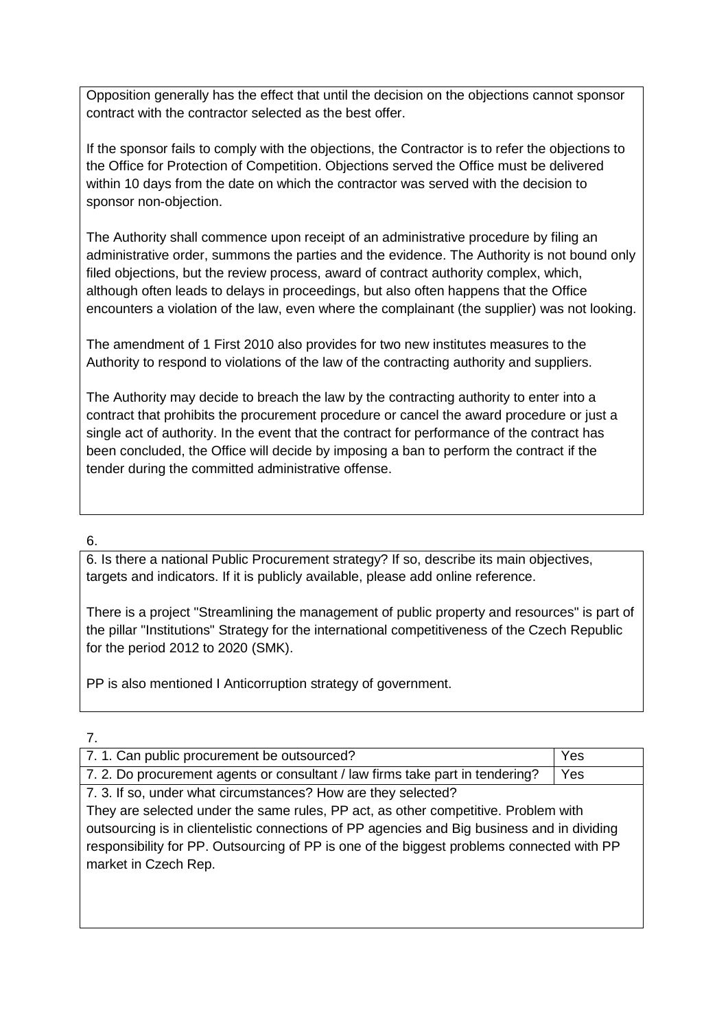Opposition generally has the effect that until the decision on the objections cannot sponsor contract with the contractor selected as the best offer.

If the sponsor fails to comply with the objections, the Contractor is to refer the objections to the Office for Protection of Competition. Objections served the Office must be delivered within 10 days from the date on which the contractor was served with the decision to sponsor non-objection.

The Authority shall commence upon receipt of an administrative procedure by filing an administrative order, summons the parties and the evidence. The Authority is not bound only filed objections, but the review process, award of contract authority complex, which, although often leads to delays in proceedings, but also often happens that the Office encounters a violation of the law, even where the complainant (the supplier) was not looking.

The amendment of 1 First 2010 also provides for two new institutes measures to the Authority to respond to violations of the law of the contracting authority and suppliers.

The Authority may decide to breach the law by the contracting authority to enter into a contract that prohibits the procurement procedure or cancel the award procedure or just a single act of authority. In the event that the contract for performance of the contract has been concluded, the Office will decide by imposing a ban to perform the contract if the tender during the committed administrative offense.

6.

6. Is there a national Public Procurement strategy? If so, describe its main objectives, targets and indicators. If it is publicly available, please add online reference.

There is a project "Streamlining the management of public property and resources" is part of the pillar "Institutions" Strategy for the international competitiveness of the Czech Republic for the period 2012 to 2020 (SMK).

PP is also mentioned I Anticorruption strategy of government.

| ×<br>__<br>r |  |
|--------------|--|
|              |  |
|              |  |

| 7. 1. Can public procurement be outsourced?                                                 | Yes |  |
|---------------------------------------------------------------------------------------------|-----|--|
| 7. 2. Do procurement agents or consultant / law firms take part in tendering?               | Yes |  |
| 7. 3. If so, under what circumstances? How are they selected?                               |     |  |
| They are selected under the same rules, PP act, as other competitive. Problem with          |     |  |
| outsourcing is in clientelistic connections of PP agencies and Big business and in dividing |     |  |
| responsibility for PP. Outsourcing of PP is one of the biggest problems connected with PP   |     |  |
| market in Czech Rep.                                                                        |     |  |
|                                                                                             |     |  |
|                                                                                             |     |  |
|                                                                                             |     |  |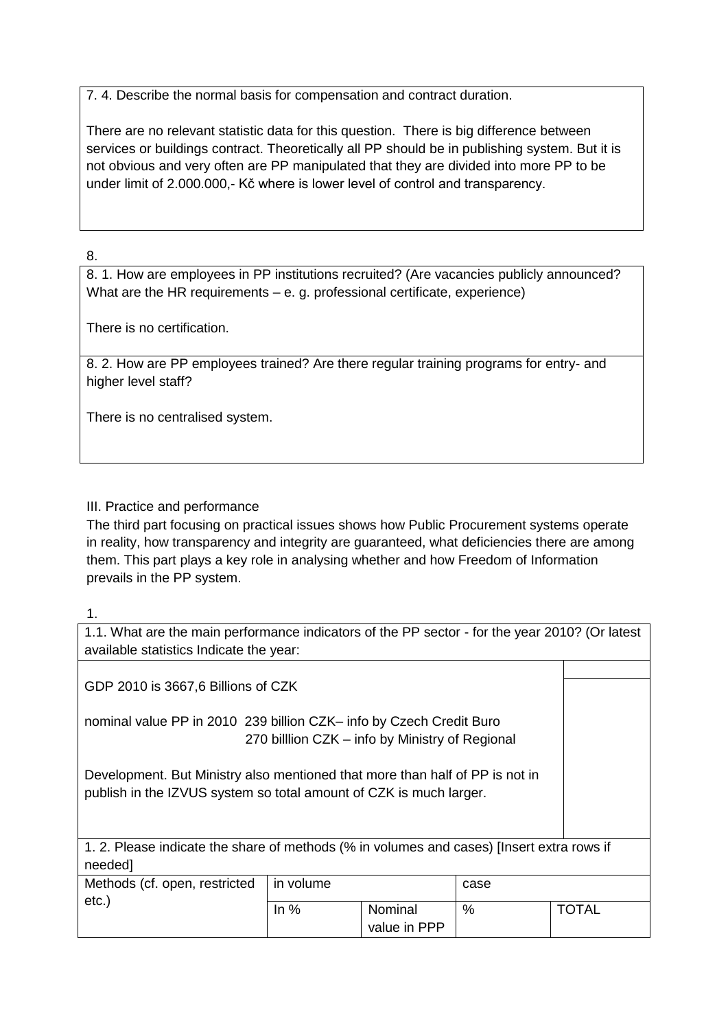7. 4. Describe the normal basis for compensation and contract duration.

There are no relevant statistic data for this question. There is big difference between services or buildings contract. Theoretically all PP should be in publishing system. But it is not obvious and very often are PP manipulated that they are divided into more PP to be under limit of 2.000.000,- Kč where is lower level of control and transparency.

## 8.

8. 1. How are employees in PP institutions recruited? (Are vacancies publicly announced? What are the HR requirements – e. g. professional certificate, experience)

There is no certification.

8. 2. How are PP employees trained? Are there regular training programs for entry- and higher level staff?

There is no centralised system.

## III. Practice and performance

The third part focusing on practical issues shows how Public Procurement systems operate in reality, how transparency and integrity are guaranteed, what deficiencies there are among them. This part plays a key role in analysing whether and how Freedom of Information prevails in the PP system.

#### 1.

| 1.1. What are the main performance indicators of the PP sector - for the year 2010? (Or latest<br>available statistics Indicate the year:          |           |                         |               |       |
|----------------------------------------------------------------------------------------------------------------------------------------------------|-----------|-------------------------|---------------|-------|
|                                                                                                                                                    |           |                         |               |       |
|                                                                                                                                                    |           |                         |               |       |
| GDP 2010 is 3667,6 Billions of CZK                                                                                                                 |           |                         |               |       |
| nominal value PP in 2010 239 billion CZK- info by Czech Credit Buro<br>270 billion CZK – info by Ministry of Regional                              |           |                         |               |       |
| Development. But Ministry also mentioned that more than half of PP is not in<br>publish in the IZVUS system so total amount of CZK is much larger. |           |                         |               |       |
| 1. 2. Please indicate the share of methods (% in volumes and cases) [Insert extra rows if                                                          |           |                         |               |       |
| needed]                                                                                                                                            |           |                         |               |       |
| Methods (cf. open, restricted                                                                                                                      | in volume |                         | case          |       |
| $etc.$ )                                                                                                                                           | In $%$    | Nominal<br>value in PPP | $\frac{0}{0}$ | TOTAL |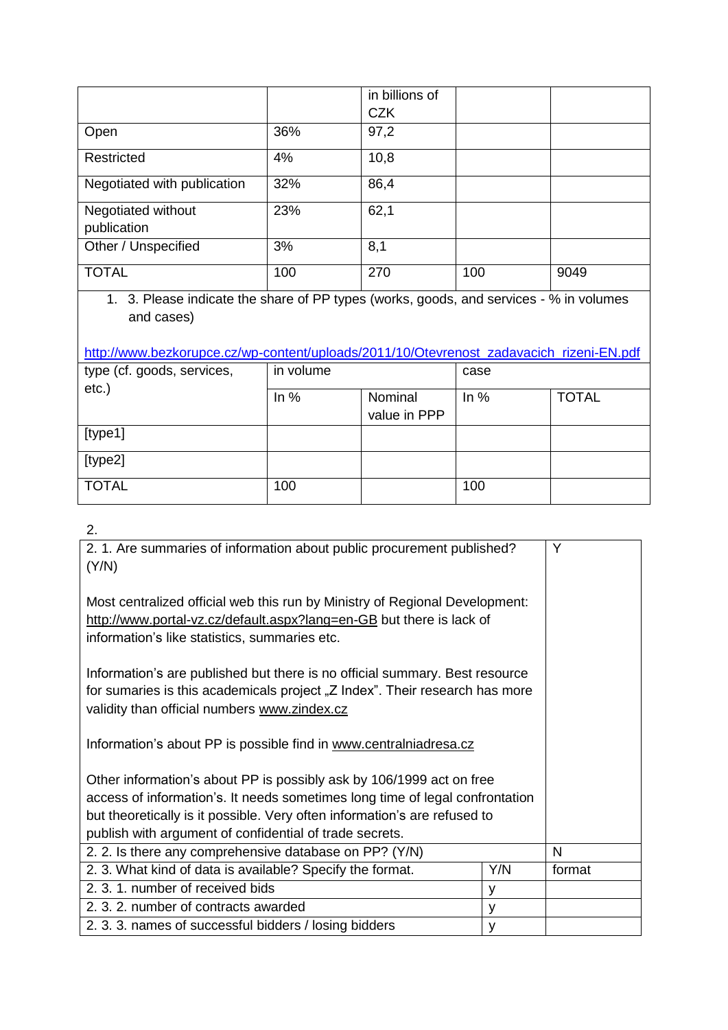|                                   |     | in billions of<br><b>CZK</b> |     |      |
|-----------------------------------|-----|------------------------------|-----|------|
| Open                              | 36% | 97,2                         |     |      |
| Restricted                        | 4%  | 10,8                         |     |      |
| Negotiated with publication       | 32% | 86,4                         |     |      |
| Negotiated without<br>publication | 23% | 62,1                         |     |      |
| Other / Unspecified               | 3%  | 8,1                          |     |      |
| <b>TOTAL</b>                      | 100 | 270                          | 100 | 9049 |

1. 3. Please indicate the share of PP types (works, goods, and services - % in volumes and cases)

# [http://www.bezkorupce.cz/wp-content/uploads/2011/10/Otevrenost\\_zadavacich\\_rizeni-EN.pdf](http://www.bezkorupce.cz/wp-content/uploads/2011/10/Otevrenost_zadavacich_rizeni-EN.pdf)

| type (cf. goods, services,<br>etc.) | in volume | case                    |        |              |
|-------------------------------------|-----------|-------------------------|--------|--------------|
|                                     | In $%$    | Nominal<br>value in PPP | In $%$ | <b>TOTAL</b> |
| [type1]                             |           |                         |        |              |
| [type2]                             |           |                         |        |              |
| <b>TOTAL</b>                        | 100       |                         | 100    |              |

2.

| 2. 1. Are summaries of information about public procurement published?                                                                                                                                                                                                                       |     | Y      |
|----------------------------------------------------------------------------------------------------------------------------------------------------------------------------------------------------------------------------------------------------------------------------------------------|-----|--------|
| (Y/N)                                                                                                                                                                                                                                                                                        |     |        |
| Most centralized official web this run by Ministry of Regional Development:<br>http://www.portal-vz.cz/default.aspx?lang=en-GB but there is lack of<br>information's like statistics, summaries etc.                                                                                         |     |        |
| Information's are published but there is no official summary. Best resource<br>for sumaries is this academicals project "Z Index". Their research has more<br>validity than official numbers www.zindex.cz                                                                                   |     |        |
| Information's about PP is possible find in www.centralniadresa.cz                                                                                                                                                                                                                            |     |        |
| Other information's about PP is possibly ask by 106/1999 act on free<br>access of information's. It needs sometimes long time of legal confrontation<br>but theoretically is it possible. Very often information's are refused to<br>publish with argument of confidential of trade secrets. |     |        |
| 2. 2. Is there any comprehensive database on PP? (Y/N)                                                                                                                                                                                                                                       |     | N      |
| 2. 3. What kind of data is available? Specify the format.                                                                                                                                                                                                                                    | Y/N | format |
| 2. 3. 1. number of received bids                                                                                                                                                                                                                                                             | y   |        |
| 2. 3. 2. number of contracts awarded                                                                                                                                                                                                                                                         | y   |        |
| 2.3.3. names of successful bidders / losing bidders                                                                                                                                                                                                                                          | y   |        |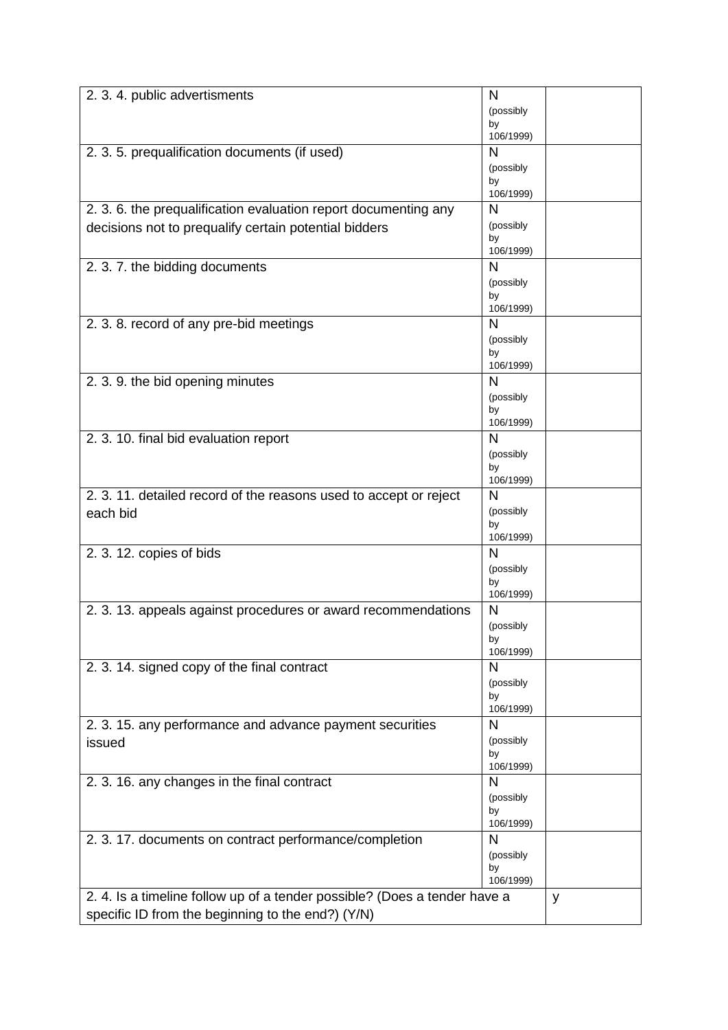| 2. 3. 4. public advertisments                                            | N               |   |
|--------------------------------------------------------------------------|-----------------|---|
|                                                                          | (possibly       |   |
|                                                                          | by              |   |
|                                                                          | 106/1999)       |   |
| 2. 3. 5. prequalification documents (if used)                            | N               |   |
|                                                                          | (possibly       |   |
|                                                                          | by<br>106/1999) |   |
| 2. 3. 6. the prequalification evaluation report documenting any          | N               |   |
|                                                                          | (possibly       |   |
| decisions not to prequalify certain potential bidders                    | by              |   |
|                                                                          | 106/1999)       |   |
| 2. 3. 7. the bidding documents                                           | N               |   |
|                                                                          | (possibly       |   |
|                                                                          | by              |   |
|                                                                          | 106/1999)       |   |
| 2. 3. 8. record of any pre-bid meetings                                  | N               |   |
|                                                                          | (possibly       |   |
|                                                                          | by<br>106/1999) |   |
| 2. 3. 9. the bid opening minutes                                         | N               |   |
|                                                                          | (possibly       |   |
|                                                                          | by              |   |
|                                                                          | 106/1999)       |   |
| 2. 3. 10. final bid evaluation report                                    | N               |   |
|                                                                          | (possibly       |   |
|                                                                          | by              |   |
|                                                                          | 106/1999)       |   |
| 2. 3. 11. detailed record of the reasons used to accept or reject        | N               |   |
| each bid                                                                 | (possibly       |   |
|                                                                          | by<br>106/1999) |   |
| 2. 3. 12. copies of bids                                                 | N               |   |
|                                                                          | (possibly       |   |
|                                                                          | by              |   |
|                                                                          | 106/1999)       |   |
| 2. 3. 13. appeals against procedures or award recommendations            | N               |   |
|                                                                          | (possibly       |   |
|                                                                          | by              |   |
|                                                                          | 106/1999)       |   |
| 2. 3. 14. signed copy of the final contract                              | N               |   |
|                                                                          | (possibly       |   |
|                                                                          | by<br>106/1999) |   |
| 2. 3. 15. any performance and advance payment securities                 | $\mathsf{N}$    |   |
| issued                                                                   | (possibly       |   |
|                                                                          | by              |   |
|                                                                          | 106/1999)       |   |
| 2. 3. 16. any changes in the final contract                              | N               |   |
|                                                                          | (possibly       |   |
|                                                                          | by              |   |
|                                                                          | 106/1999)       |   |
| 2. 3. 17. documents on contract performance/completion                   | N               |   |
|                                                                          | (possibly<br>by |   |
|                                                                          | 106/1999)       |   |
| 2.4. Is a timeline follow up of a tender possible? (Does a tender have a |                 | y |
| specific ID from the beginning to the end?) (Y/N)                        |                 |   |
|                                                                          |                 |   |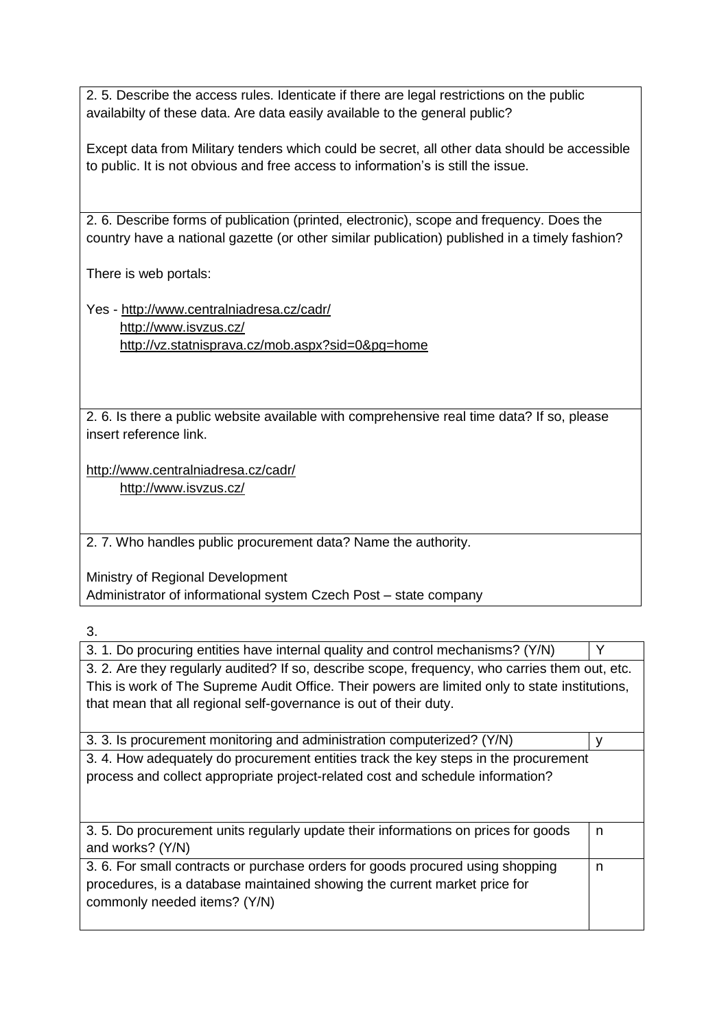2. 5. Describe the access rules. Identicate if there are legal restrictions on the public availabilty of these data. Are data easily available to the general public?

Except data from Military tenders which could be secret, all other data should be accessible to public. It is not obvious and free access to information's is still the issue.

2. 6. Describe forms of publication (printed, electronic), scope and frequency. Does the country have a national gazette (or other similar publication) published in a timely fashion?

There is web portals:

Yes - <http://www.centralniadresa.cz/cadr/> <http://www.isvzus.cz/> <http://vz.statnisprava.cz/mob.aspx?sid=0&pg=home>

2. 6. Is there a public website available with comprehensive real time data? If so, please insert reference link.

<http://www.centralniadresa.cz/cadr/> <http://www.isvzus.cz/>

2. 7. Who handles public procurement data? Name the authority.

Ministry of Regional Development Administrator of informational system Czech Post – state company

3.

| 3. 1. Do procuring entities have internal quality and control mechanisms? (Y/N)                                                                                                                                                                                       |   |  |
|-----------------------------------------------------------------------------------------------------------------------------------------------------------------------------------------------------------------------------------------------------------------------|---|--|
| 3. 2. Are they regularly audited? If so, describe scope, frequency, who carries them out, etc.<br>This is work of The Supreme Audit Office. Their powers are limited only to state institutions,<br>that mean that all regional self-governance is out of their duty. |   |  |
| 3. 3. Is procurement monitoring and administration computerized? (Y/N)                                                                                                                                                                                                |   |  |
| 3.4. How adequately do procurement entities track the key steps in the procurement<br>process and collect appropriate project-related cost and schedule information?                                                                                                  |   |  |
| 3.5. Do procurement units regularly update their informations on prices for goods<br>and works? (Y/N)                                                                                                                                                                 | n |  |
| 3. 6. For small contracts or purchase orders for goods procured using shopping<br>procedures, is a database maintained showing the current market price for<br>commonly needed items? (Y/N)                                                                           | n |  |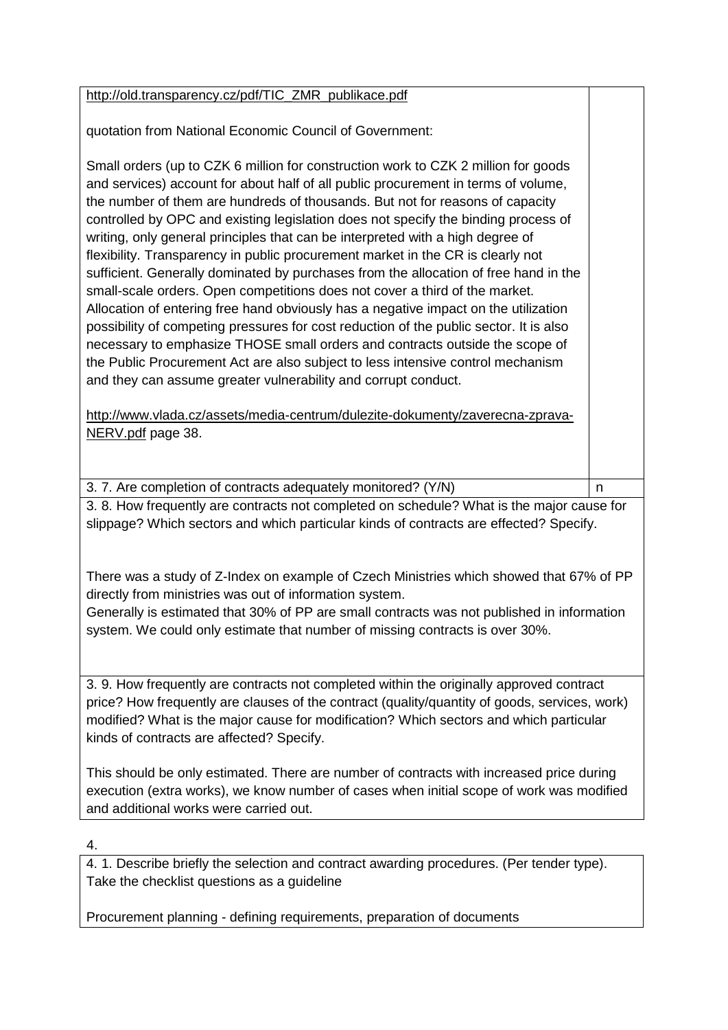| http://old.transparency.cz/pdf/TIC_ZMR_publikace.pdf                                                                                                                                                                                                                                                                                                                                                                                                                                                                                                                                                                                                                                                                                                                                                                                                                                                                                                                                                                                                                                                              |   |  |
|-------------------------------------------------------------------------------------------------------------------------------------------------------------------------------------------------------------------------------------------------------------------------------------------------------------------------------------------------------------------------------------------------------------------------------------------------------------------------------------------------------------------------------------------------------------------------------------------------------------------------------------------------------------------------------------------------------------------------------------------------------------------------------------------------------------------------------------------------------------------------------------------------------------------------------------------------------------------------------------------------------------------------------------------------------------------------------------------------------------------|---|--|
| quotation from National Economic Council of Government:                                                                                                                                                                                                                                                                                                                                                                                                                                                                                                                                                                                                                                                                                                                                                                                                                                                                                                                                                                                                                                                           |   |  |
| Small orders (up to CZK 6 million for construction work to CZK 2 million for goods<br>and services) account for about half of all public procurement in terms of volume,<br>the number of them are hundreds of thousands. But not for reasons of capacity<br>controlled by OPC and existing legislation does not specify the binding process of<br>writing, only general principles that can be interpreted with a high degree of<br>flexibility. Transparency in public procurement market in the CR is clearly not<br>sufficient. Generally dominated by purchases from the allocation of free hand in the<br>small-scale orders. Open competitions does not cover a third of the market.<br>Allocation of entering free hand obviously has a negative impact on the utilization<br>possibility of competing pressures for cost reduction of the public sector. It is also<br>necessary to emphasize THOSE small orders and contracts outside the scope of<br>the Public Procurement Act are also subject to less intensive control mechanism<br>and they can assume greater vulnerability and corrupt conduct. |   |  |
| http://www.vlada.cz/assets/media-centrum/dulezite-dokumenty/zaverecna-zprava-                                                                                                                                                                                                                                                                                                                                                                                                                                                                                                                                                                                                                                                                                                                                                                                                                                                                                                                                                                                                                                     |   |  |
| NERV.pdf page 38.                                                                                                                                                                                                                                                                                                                                                                                                                                                                                                                                                                                                                                                                                                                                                                                                                                                                                                                                                                                                                                                                                                 |   |  |
|                                                                                                                                                                                                                                                                                                                                                                                                                                                                                                                                                                                                                                                                                                                                                                                                                                                                                                                                                                                                                                                                                                                   |   |  |
| 3. 7. Are completion of contracts adequately monitored? (Y/N)                                                                                                                                                                                                                                                                                                                                                                                                                                                                                                                                                                                                                                                                                                                                                                                                                                                                                                                                                                                                                                                     | n |  |
| 3. 8. How frequently are contracts not completed on schedule? What is the major cause for<br>slippage? Which sectors and which particular kinds of contracts are effected? Specify.                                                                                                                                                                                                                                                                                                                                                                                                                                                                                                                                                                                                                                                                                                                                                                                                                                                                                                                               |   |  |
| There was a study of Z-Index on example of Czech Ministries which showed that 67% of PP<br>directly from ministries was out of information system.<br>Generally is estimated that 30% of PP are small contracts was not published in information<br>system. We could only estimate that number of missing contracts is over 30%.                                                                                                                                                                                                                                                                                                                                                                                                                                                                                                                                                                                                                                                                                                                                                                                  |   |  |

3. 9. How frequently are contracts not completed within the originally approved contract price? How frequently are clauses of the contract (quality/quantity of goods, services, work) modified? What is the major cause for modification? Which sectors and which particular kinds of contracts are affected? Specify.

This should be only estimated. There are number of contracts with increased price during execution (extra works), we know number of cases when initial scope of work was modified and additional works were carried out.

4.

4. 1. Describe briefly the selection and contract awarding procedures. (Per tender type). Take the checklist questions as a guideline

Procurement planning - defining requirements, preparation of documents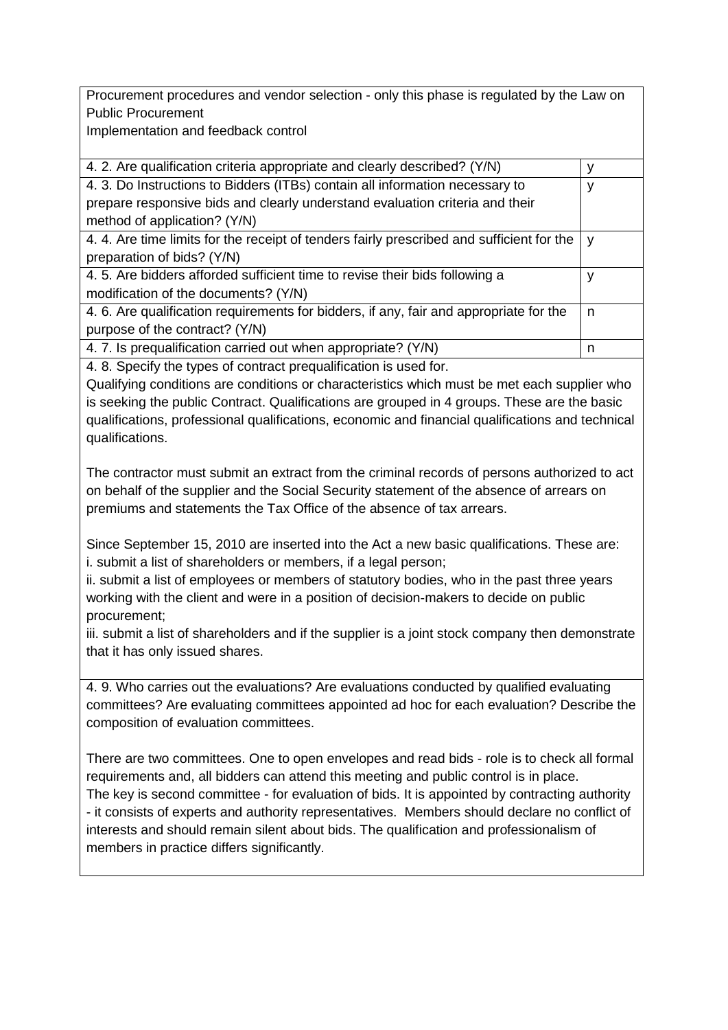Procurement procedures and vendor selection - only this phase is regulated by the Law on Public Procurement

Implementation and feedback control

| 4. 2. Are qualification criteria appropriate and clearly described? (Y/N)                | v |
|------------------------------------------------------------------------------------------|---|
| 4. 3. Do Instructions to Bidders (ITBs) contain all information necessary to             | v |
| prepare responsive bids and clearly understand evaluation criteria and their             |   |
| method of application? (Y/N)                                                             |   |
| 4.4. Are time limits for the receipt of tenders fairly prescribed and sufficient for the | v |
| preparation of bids? (Y/N)                                                               |   |
| 4.5. Are bidders afforded sufficient time to revise their bids following a               | v |
| modification of the documents? (Y/N)                                                     |   |
| 4. 6. Are qualification requirements for bidders, if any, fair and appropriate for the   | n |
| purpose of the contract? (Y/N)                                                           |   |
| 4.7. Is prequalification carried out when appropriate? (Y/N)                             | n |

4. 8. Specify the types of contract prequalification is used for.

Qualifying conditions are conditions or characteristics which must be met each supplier who is seeking the public Contract. Qualifications are grouped in 4 groups. These are the basic qualifications, professional qualifications, economic and financial qualifications and technical qualifications.

The contractor must submit an extract from the criminal records of persons authorized to act on behalf of the supplier and the Social Security statement of the absence of arrears on premiums and statements the Tax Office of the absence of tax arrears.

Since September 15, 2010 are inserted into the Act a new basic qualifications. These are: i. submit a list of shareholders or members, if a legal person;

ii. submit a list of employees or members of statutory bodies, who in the past three years working with the client and were in a position of decision-makers to decide on public procurement;

iii. submit a list of shareholders and if the supplier is a joint stock company then demonstrate that it has only issued shares.

4. 9. Who carries out the evaluations? Are evaluations conducted by qualified evaluating committees? Are evaluating committees appointed ad hoc for each evaluation? Describe the composition of evaluation committees.

There are two committees. One to open envelopes and read bids - role is to check all formal requirements and, all bidders can attend this meeting and public control is in place. The key is second committee - for evaluation of bids. It is appointed by contracting authority - it consists of experts and authority representatives. Members should declare no conflict of interests and should remain silent about bids. The qualification and professionalism of members in practice differs significantly.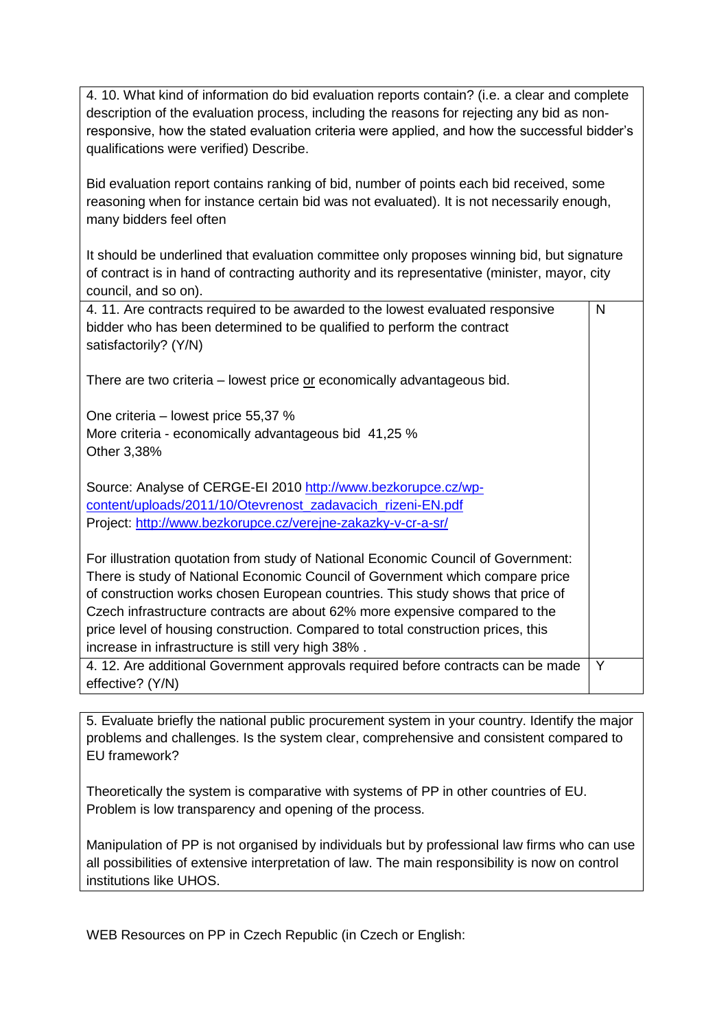4. 10. What kind of information do bid evaluation reports contain? (i.e. a clear and complete description of the evaluation process, including the reasons for rejecting any bid as nonresponsive, how the stated evaluation criteria were applied, and how the successful bidder's qualifications were verified) Describe.

Bid evaluation report contains ranking of bid, number of points each bid received, some reasoning when for instance certain bid was not evaluated). It is not necessarily enough, many bidders feel often

It should be underlined that evaluation committee only proposes winning bid, but signature of contract is in hand of contracting authority and its representative (minister, mayor, city council, and so on).

| 4.11. Are contracts required to be awarded to the lowest evaluated responsive<br>bidder who has been determined to be qualified to perform the contract<br>satisfactorily? (Y/N)                                                                                                                                                                                                                                                                                               | N |
|--------------------------------------------------------------------------------------------------------------------------------------------------------------------------------------------------------------------------------------------------------------------------------------------------------------------------------------------------------------------------------------------------------------------------------------------------------------------------------|---|
| There are two criteria – lowest price or economically advantageous bid.                                                                                                                                                                                                                                                                                                                                                                                                        |   |
| One criteria – lowest price 55,37 %<br>More criteria - economically advantageous bid 41,25 %<br>Other 3,38%                                                                                                                                                                                                                                                                                                                                                                    |   |
| Source: Analyse of CERGE-EI 2010 http://www.bezkorupce.cz/wp-<br>content/uploads/2011/10/Otevrenost zadavacich rizeni-EN.pdf<br>Project: http://www.bezkorupce.cz/verejne-zakazky-v-cr-a-sr/                                                                                                                                                                                                                                                                                   |   |
| For illustration quotation from study of National Economic Council of Government:<br>There is study of National Economic Council of Government which compare price<br>of construction works chosen European countries. This study shows that price of<br>Czech infrastructure contracts are about 62% more expensive compared to the<br>price level of housing construction. Compared to total construction prices, this<br>increase in infrastructure is still very high 38%. |   |
| 4. 12. Are additional Government approvals required before contracts can be made<br>effective? (Y/N)                                                                                                                                                                                                                                                                                                                                                                           | Y |

5. Evaluate briefly the national public procurement system in your country. Identify the major problems and challenges. Is the system clear, comprehensive and consistent compared to EU framework?

Theoretically the system is comparative with systems of PP in other countries of EU. Problem is low transparency and opening of the process.

Manipulation of PP is not organised by individuals but by professional law firms who can use all possibilities of extensive interpretation of law. The main responsibility is now on control institutions like UHOS.

WEB Resources on PP in Czech Republic (in Czech or English: